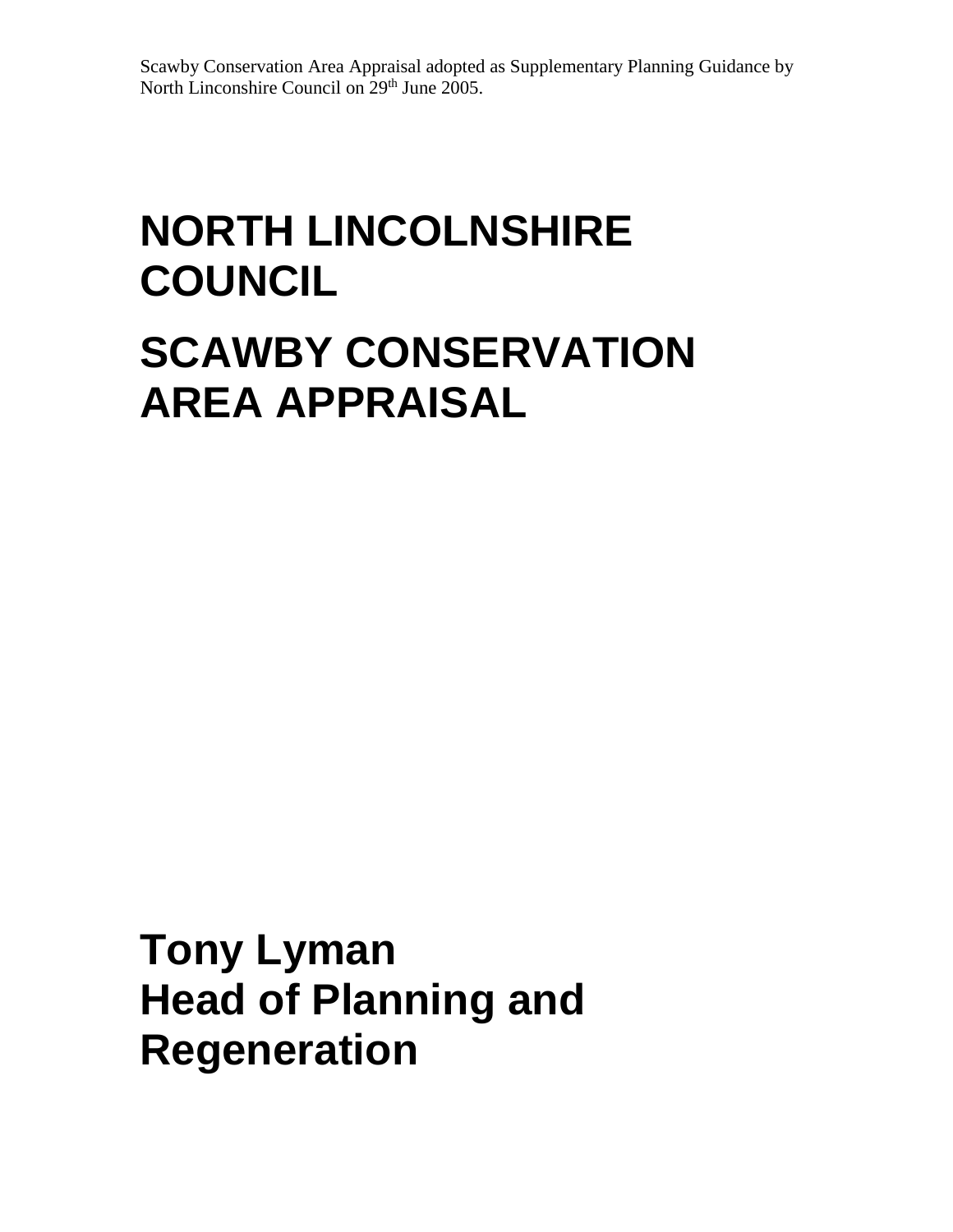Scawby Conservation Area Appraisal adopted as Supplementary Planning Guidance by North Linconshire Council on 29<sup>th</sup> June 2005.

# **NORTH LINCOLNSHIRE COUNCIL SCAWBY CONSERVATION**

**AREA APPRAISAL**

**Tony Lyman Head of Planning and Regeneration**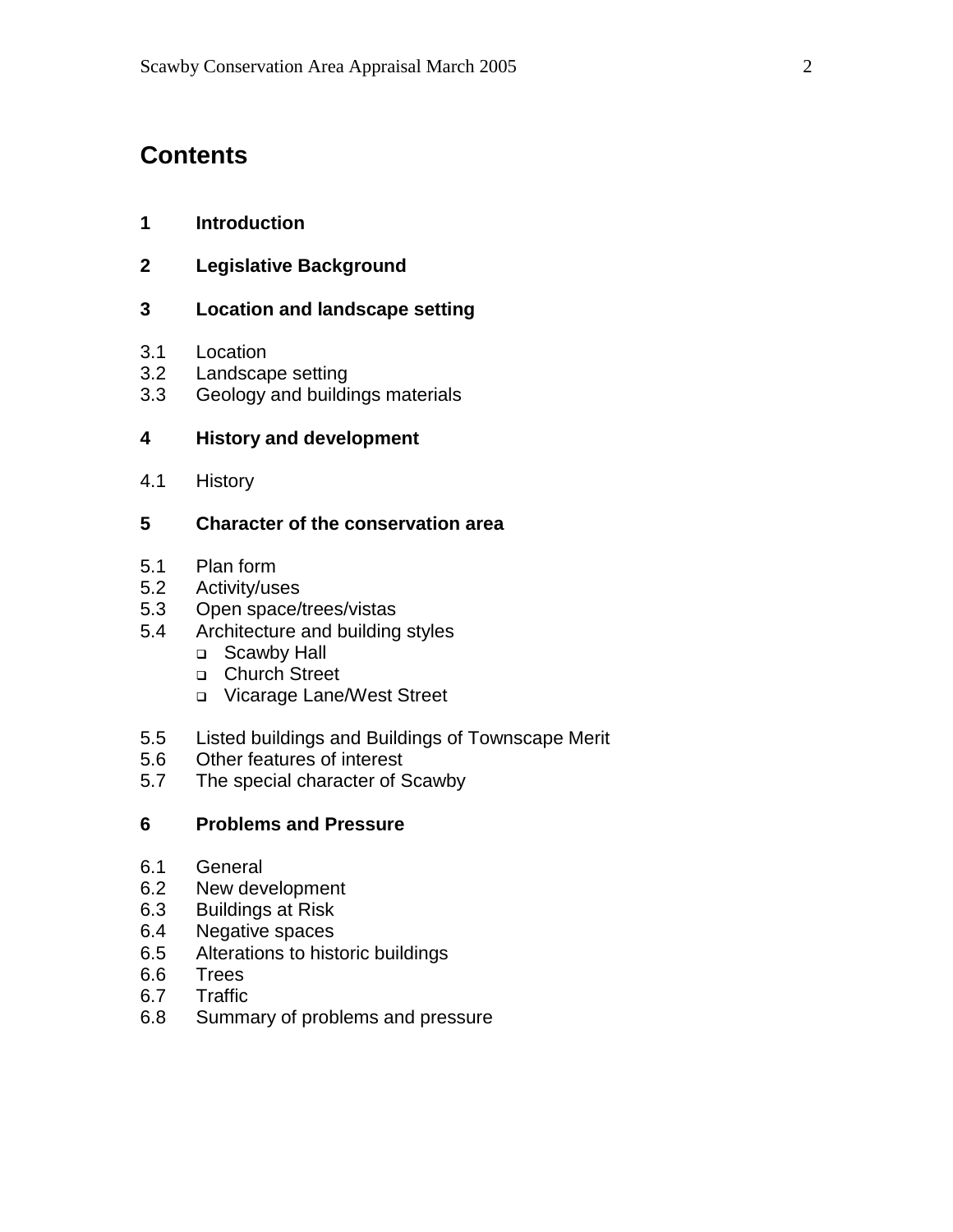# **Contents**

- **1 Introduction**
- **2 Legislative Background**

#### **3 Location and landscape setting**

- 3.1 Location
- 3.2 Landscape setting
- 3.3 Geology and buildings materials

#### **4 History and development**

4.1 History

#### **5 Character of the conservation area**

- 5.1 Plan form
- 5.2 Activity/uses
- 5.3 Open space/trees/vistas
- 5.4 Architecture and building styles
	- □ Scawby Hall
	- □ Church Street
	- Vicarage Lane/West Street
- 5.5 Listed buildings and Buildings of Townscape Merit
- 5.6 Other features of interest
- 5.7 The special character of Scawby

#### **6 Problems and Pressure**

- 6.1 General
- 6.2 New development
- 6.3 Buildings at Risk
- 6.4 Negative spaces
- 6.5 Alterations to historic buildings
- 6.6 Trees
- 6.7 Traffic
- 6.8 Summary of problems and pressure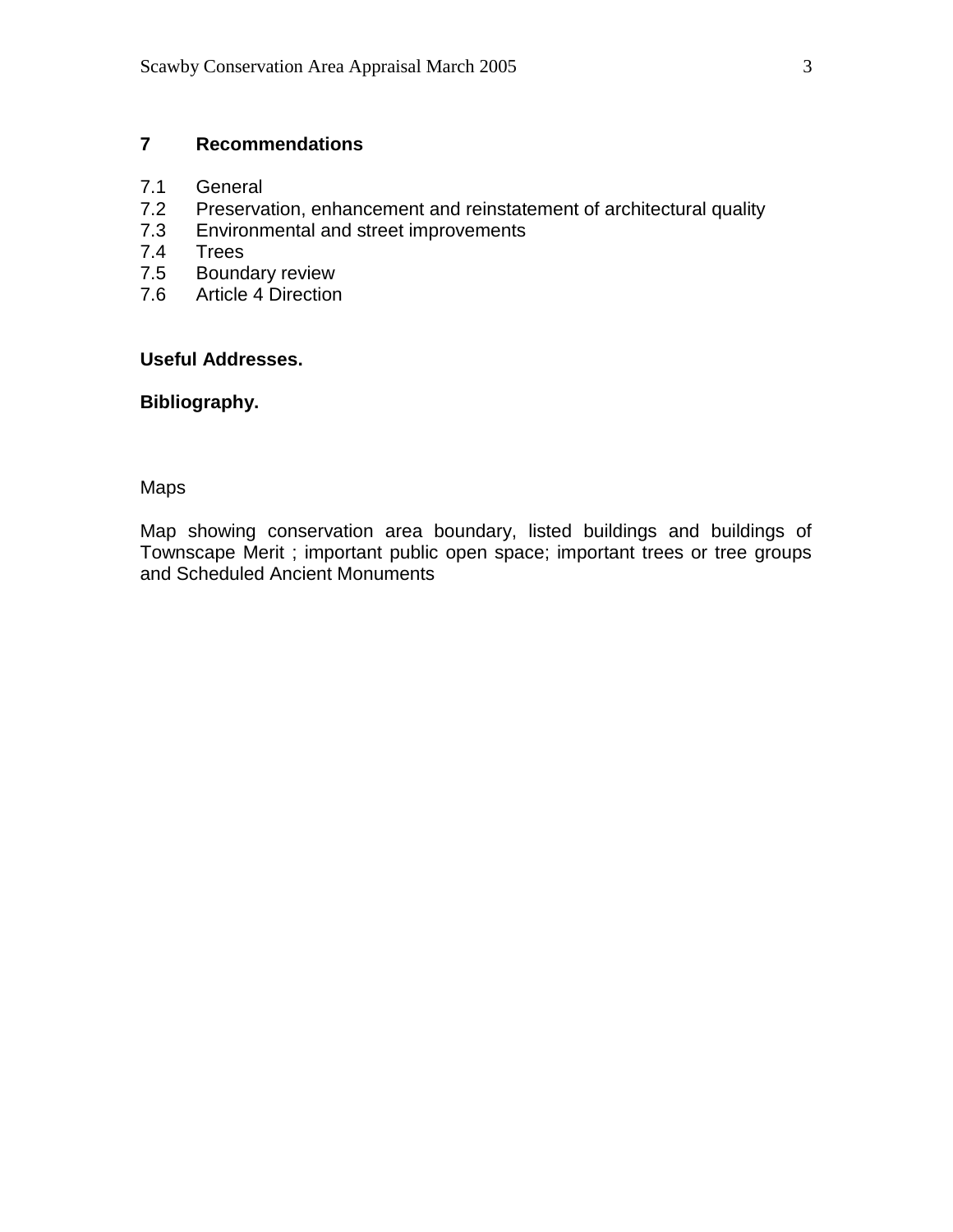# **7 Recommendations**

- 7.1 General
- 7.2 Preservation, enhancement and reinstatement of architectural quality<br>7.3 Environmental and street improvements
- Environmental and street improvements
- 7.4 Trees
- 7.5 Boundary review
- 7.6 Article 4 Direction

#### **Useful Addresses.**

#### **Bibliography.**

# Maps

Map showing conservation area boundary, listed buildings and buildings of Townscape Merit ; important public open space; important trees or tree groups and Scheduled Ancient Monuments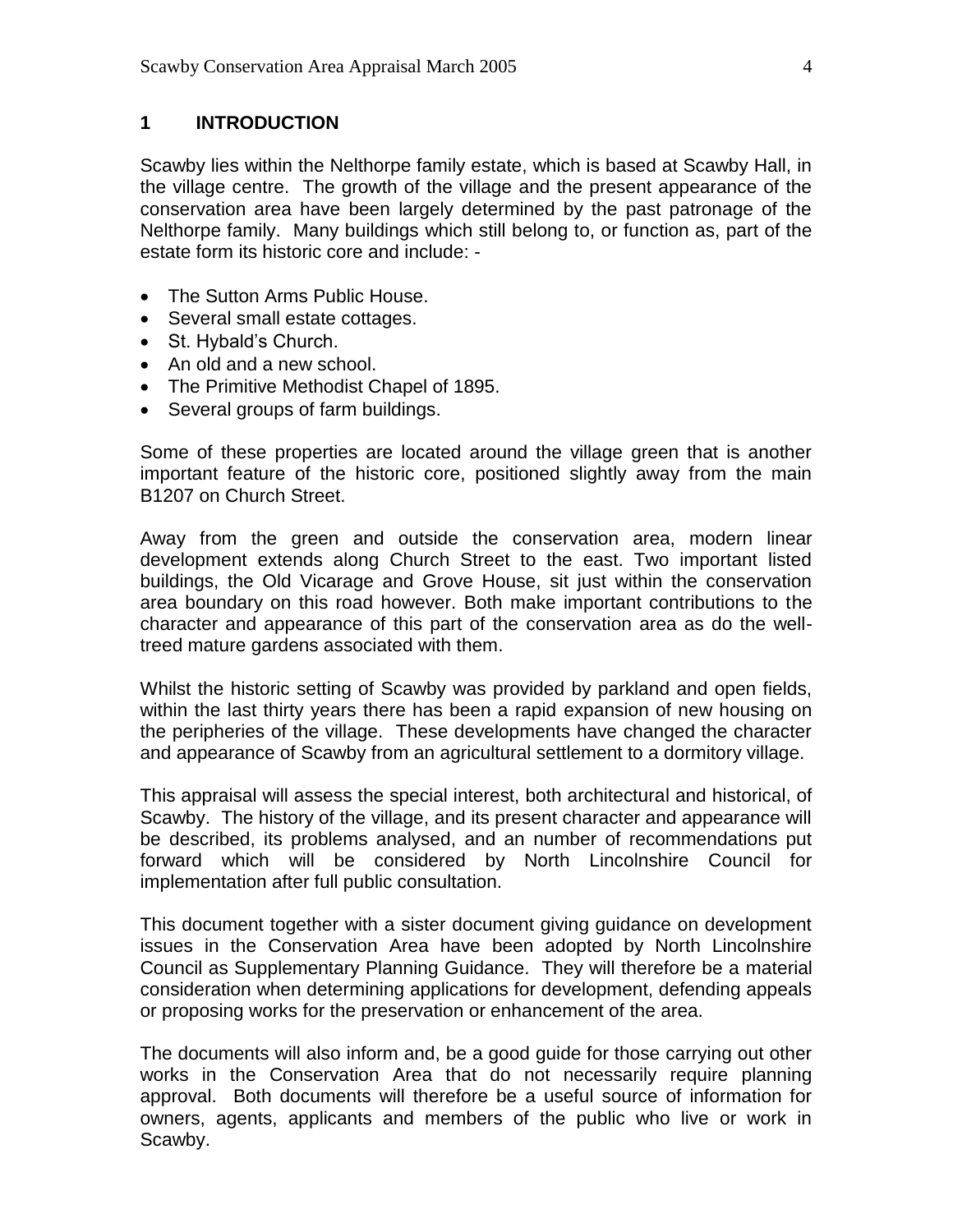#### **1 INTRODUCTION**

Scawby lies within the Nelthorpe family estate, which is based at Scawby Hall, in the village centre. The growth of the village and the present appearance of the conservation area have been largely determined by the past patronage of the Nelthorpe family. Many buildings which still belong to, or function as, part of the estate form its historic core and include: -

- The Sutton Arms Public House.
- Several small estate cottages.
- St. Hybald's Church.
- An old and a new school.
- The Primitive Methodist Chapel of 1895.
- Several groups of farm buildings.

Some of these properties are located around the village green that is another important feature of the historic core, positioned slightly away from the main B1207 on Church Street.

Away from the green and outside the conservation area, modern linear development extends along Church Street to the east. Two important listed buildings, the Old Vicarage and Grove House, sit just within the conservation area boundary on this road however. Both make important contributions to the character and appearance of this part of the conservation area as do the welltreed mature gardens associated with them.

Whilst the historic setting of Scawby was provided by parkland and open fields, within the last thirty years there has been a rapid expansion of new housing on the peripheries of the village. These developments have changed the character and appearance of Scawby from an agricultural settlement to a dormitory village.

This appraisal will assess the special interest, both architectural and historical, of Scawby. The history of the village, and its present character and appearance will be described, its problems analysed, and an number of recommendations put forward which will be considered by North Lincolnshire Council for implementation after full public consultation.

This document together with a sister document giving guidance on development issues in the Conservation Area have been adopted by North Lincolnshire Council as Supplementary Planning Guidance. They will therefore be a material consideration when determining applications for development, defending appeals or proposing works for the preservation or enhancement of the area.

The documents will also inform and, be a good guide for those carrying out other works in the Conservation Area that do not necessarily require planning approval. Both documents will therefore be a useful source of information for owners, agents, applicants and members of the public who live or work in Scawby.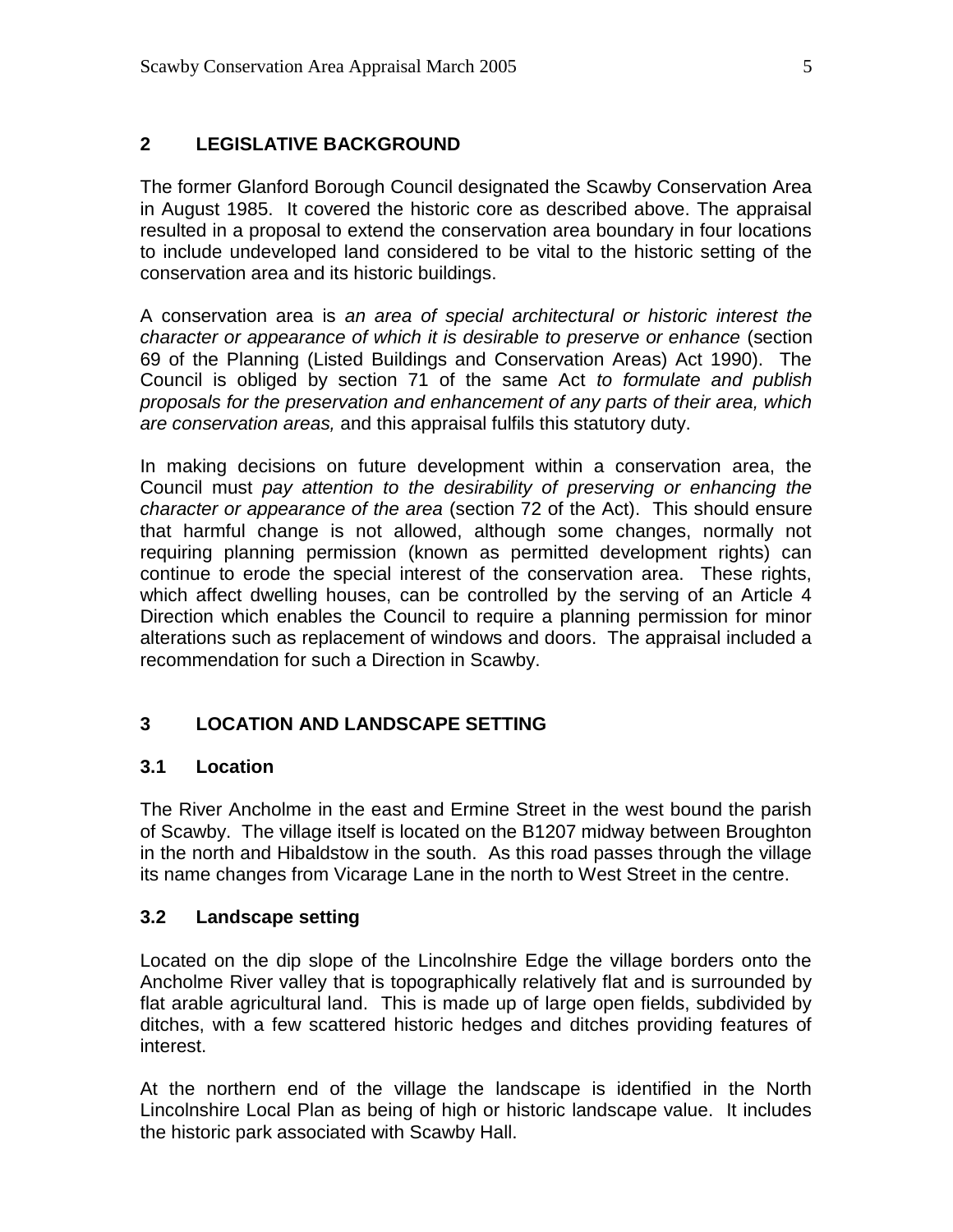#### **2 LEGISLATIVE BACKGROUND**

The former Glanford Borough Council designated the Scawby Conservation Area in August 1985. It covered the historic core as described above. The appraisal resulted in a proposal to extend the conservation area boundary in four locations to include undeveloped land considered to be vital to the historic setting of the conservation area and its historic buildings.

A conservation area is *an area of special architectural or historic interest the character or appearance of which it is desirable to preserve or enhance* (section 69 of the Planning (Listed Buildings and Conservation Areas) Act 1990). The Council is obliged by section 71 of the same Act *to formulate and publish proposals for the preservation and enhancement of any parts of their area, which are conservation areas,* and this appraisal fulfils this statutory duty.

In making decisions on future development within a conservation area, the Council must *pay attention to the desirability of preserving or enhancing the character or appearance of the area* (section 72 of the Act). This should ensure that harmful change is not allowed, although some changes, normally not requiring planning permission (known as permitted development rights) can continue to erode the special interest of the conservation area. These rights, which affect dwelling houses, can be controlled by the serving of an Article 4 Direction which enables the Council to require a planning permission for minor alterations such as replacement of windows and doors. The appraisal included a recommendation for such a Direction in Scawby.

# **3 LOCATION AND LANDSCAPE SETTING**

#### **3.1 Location**

The River Ancholme in the east and Ermine Street in the west bound the parish of Scawby. The village itself is located on the B1207 midway between Broughton in the north and Hibaldstow in the south. As this road passes through the village its name changes from Vicarage Lane in the north to West Street in the centre.

#### **3.2 Landscape setting**

Located on the dip slope of the Lincolnshire Edge the village borders onto the Ancholme River valley that is topographically relatively flat and is surrounded by flat arable agricultural land. This is made up of large open fields, subdivided by ditches, with a few scattered historic hedges and ditches providing features of interest.

At the northern end of the village the landscape is identified in the North Lincolnshire Local Plan as being of high or historic landscape value. It includes the historic park associated with Scawby Hall.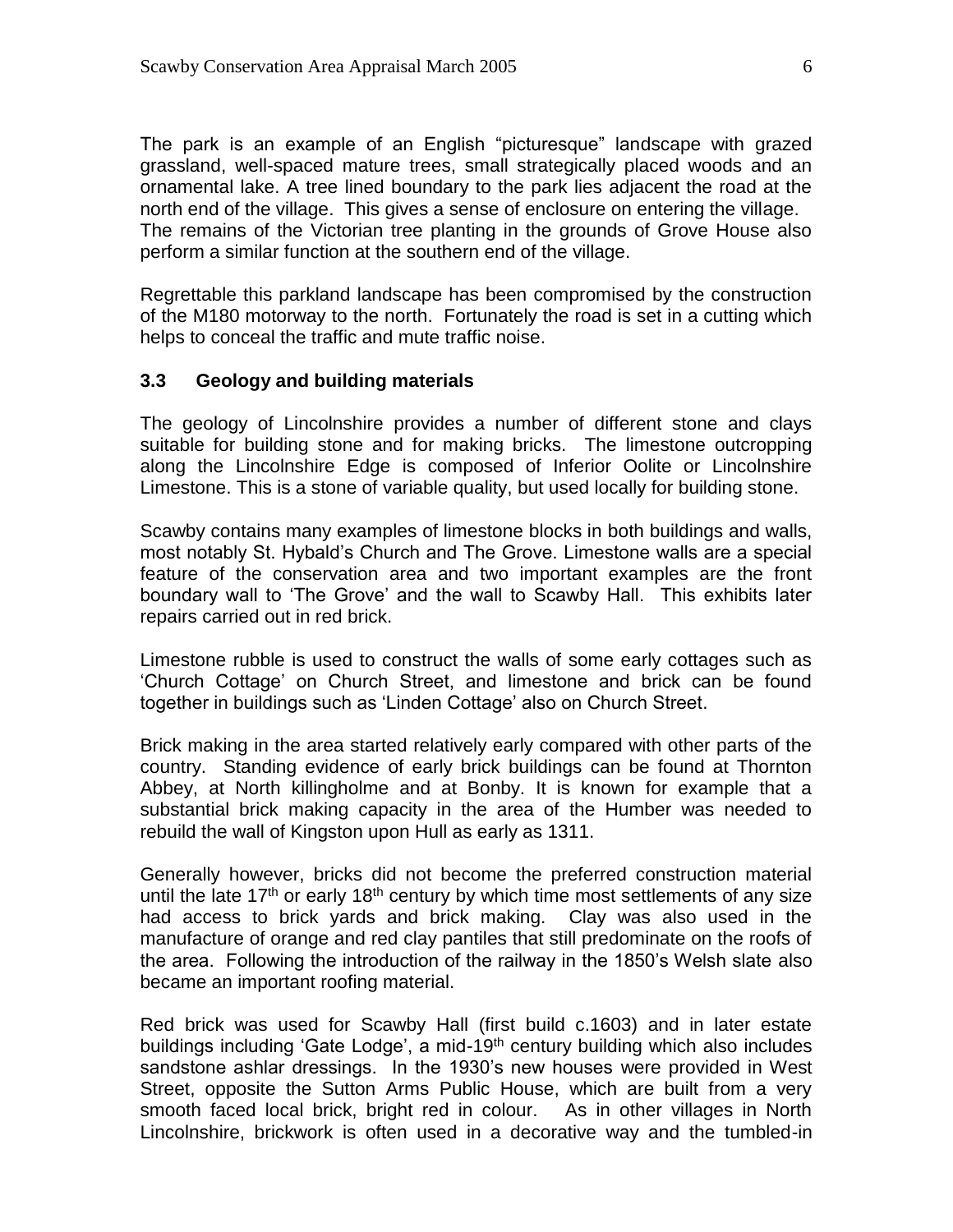The park is an example of an English "picturesque" landscape with grazed grassland, well-spaced mature trees, small strategically placed woods and an ornamental lake. A tree lined boundary to the park lies adjacent the road at the north end of the village. This gives a sense of enclosure on entering the village. The remains of the Victorian tree planting in the grounds of Grove House also perform a similar function at the southern end of the village.

Regrettable this parkland landscape has been compromised by the construction of the M180 motorway to the north. Fortunately the road is set in a cutting which helps to conceal the traffic and mute traffic noise.

#### **3.3 Geology and building materials**

The geology of Lincolnshire provides a number of different stone and clays suitable for building stone and for making bricks. The limestone outcropping along the Lincolnshire Edge is composed of Inferior Oolite or Lincolnshire Limestone. This is a stone of variable quality, but used locally for building stone.

Scawby contains many examples of limestone blocks in both buildings and walls, most notably St. Hybald's Church and The Grove. Limestone walls are a special feature of the conservation area and two important examples are the front boundary wall to 'The Grove' and the wall to Scawby Hall. This exhibits later repairs carried out in red brick.

Limestone rubble is used to construct the walls of some early cottages such as 'Church Cottage' on Church Street, and limestone and brick can be found together in buildings such as 'Linden Cottage' also on Church Street.

Brick making in the area started relatively early compared with other parts of the country. Standing evidence of early brick buildings can be found at Thornton Abbey, at North killingholme and at Bonby. It is known for example that a substantial brick making capacity in the area of the Humber was needed to rebuild the wall of Kingston upon Hull as early as 1311.

Generally however, bricks did not become the preferred construction material until the late  $17<sup>th</sup>$  or early  $18<sup>th</sup>$  century by which time most settlements of any size had access to brick yards and brick making. Clay was also used in the manufacture of orange and red clay pantiles that still predominate on the roofs of the area. Following the introduction of the railway in the 1850's Welsh slate also became an important roofing material.

Red brick was used for Scawby Hall (first build c.1603) and in later estate buildings including 'Gate Lodge', a mid-19<sup>th</sup> century building which also includes sandstone ashlar dressings. In the 1930's new houses were provided in West Street, opposite the Sutton Arms Public House, which are built from a very smooth faced local brick, bright red in colour. As in other villages in North Lincolnshire, brickwork is often used in a decorative way and the tumbled-in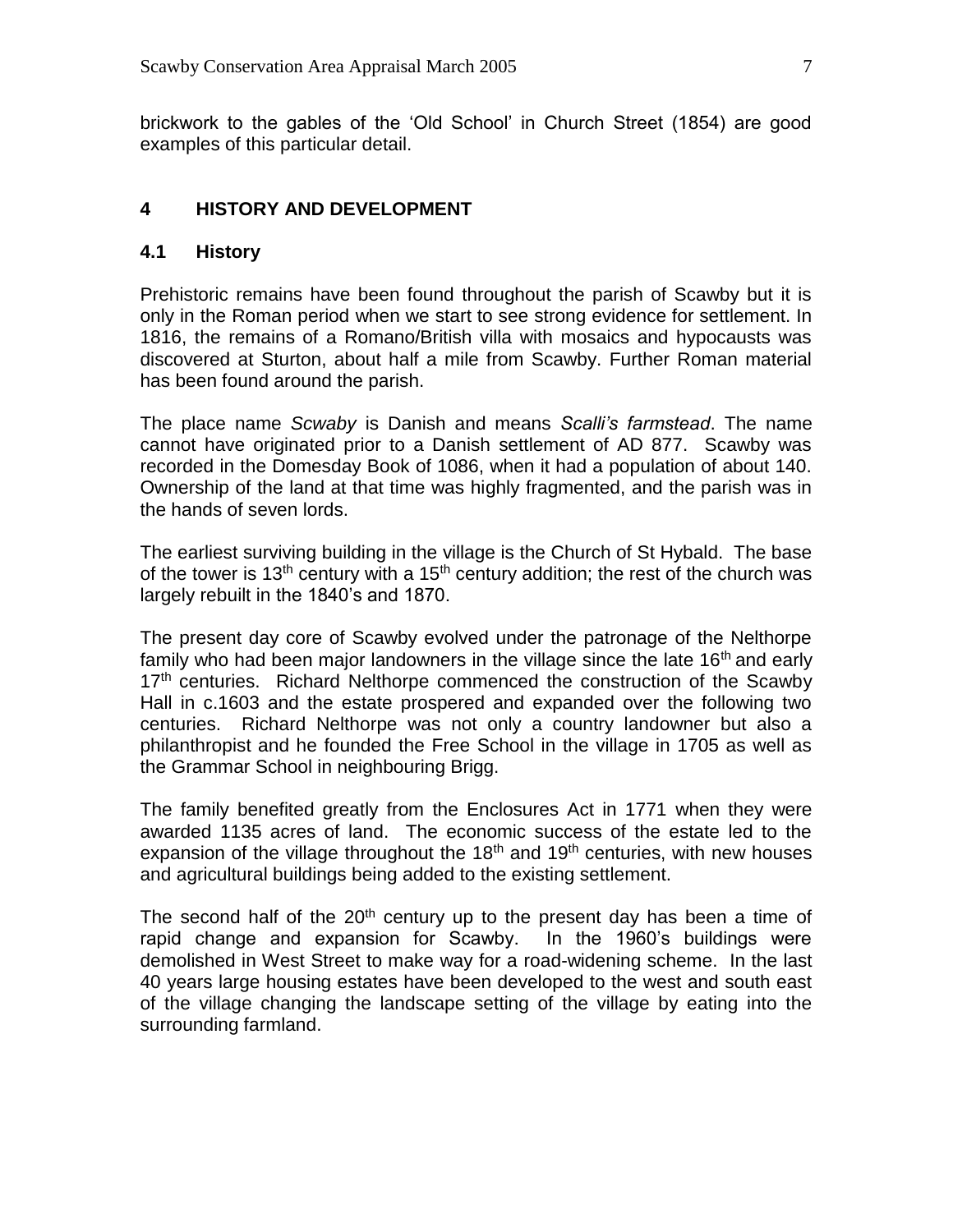brickwork to the gables of the 'Old School' in Church Street (1854) are good examples of this particular detail.

#### **4 HISTORY AND DEVELOPMENT**

#### **4.1 History**

Prehistoric remains have been found throughout the parish of Scawby but it is only in the Roman period when we start to see strong evidence for settlement. In 1816, the remains of a Romano/British villa with mosaics and hypocausts was discovered at Sturton, about half a mile from Scawby. Further Roman material has been found around the parish.

The place name *Scwaby* is Danish and means *Scalli's farmstead*. The name cannot have originated prior to a Danish settlement of AD 877. Scawby was recorded in the Domesday Book of 1086, when it had a population of about 140. Ownership of the land at that time was highly fragmented, and the parish was in the hands of seven lords.

The earliest surviving building in the village is the Church of St Hybald. The base of the tower is 13<sup>th</sup> century with a 15<sup>th</sup> century addition; the rest of the church was largely rebuilt in the 1840's and 1870.

The present day core of Scawby evolved under the patronage of the Nelthorpe family who had been major landowners in the village since the late 16<sup>th</sup> and early 17<sup>th</sup> centuries. Richard Nelthorpe commenced the construction of the Scawby Hall in c.1603 and the estate prospered and expanded over the following two centuries. Richard Nelthorpe was not only a country landowner but also a philanthropist and he founded the Free School in the village in 1705 as well as the Grammar School in neighbouring Brigg.

The family benefited greatly from the Enclosures Act in 1771 when they were awarded 1135 acres of land. The economic success of the estate led to the expansion of the village throughout the  $18<sup>th</sup>$  and  $19<sup>th</sup>$  centuries, with new houses and agricultural buildings being added to the existing settlement.

The second half of the  $20<sup>th</sup>$  century up to the present day has been a time of rapid change and expansion for Scawby. In the 1960's buildings were demolished in West Street to make way for a road-widening scheme. In the last 40 years large housing estates have been developed to the west and south east of the village changing the landscape setting of the village by eating into the surrounding farmland.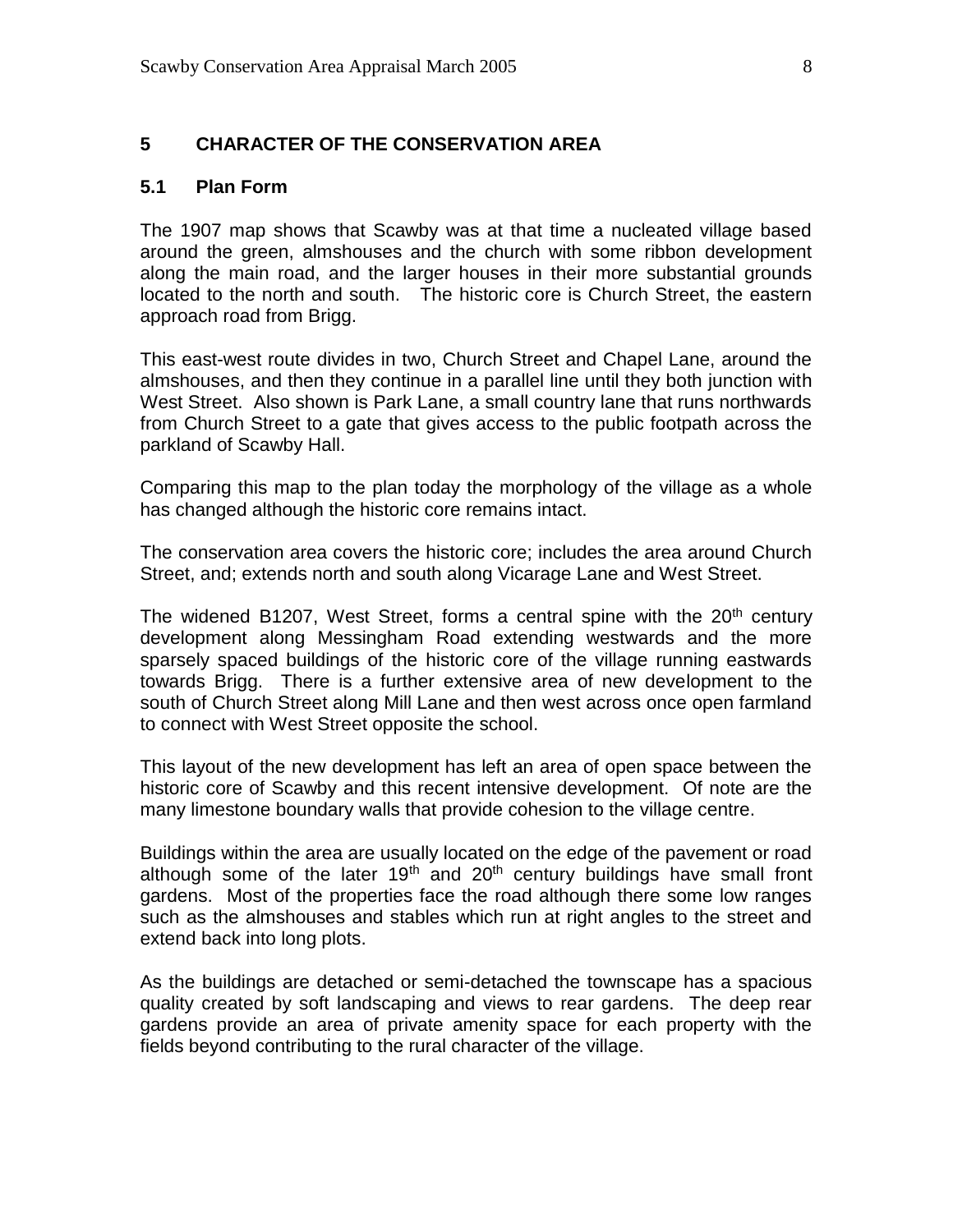#### **5 CHARACTER OF THE CONSERVATION AREA**

#### **5.1 Plan Form**

The 1907 map shows that Scawby was at that time a nucleated village based around the green, almshouses and the church with some ribbon development along the main road, and the larger houses in their more substantial grounds located to the north and south. The historic core is Church Street, the eastern approach road from Brigg.

This east-west route divides in two, Church Street and Chapel Lane, around the almshouses, and then they continue in a parallel line until they both junction with West Street. Also shown is Park Lane, a small country lane that runs northwards from Church Street to a gate that gives access to the public footpath across the parkland of Scawby Hall.

Comparing this map to the plan today the morphology of the village as a whole has changed although the historic core remains intact.

The conservation area covers the historic core; includes the area around Church Street, and; extends north and south along Vicarage Lane and West Street.

The widened B1207, West Street, forms a central spine with the  $20<sup>th</sup>$  century development along Messingham Road extending westwards and the more sparsely spaced buildings of the historic core of the village running eastwards towards Brigg. There is a further extensive area of new development to the south of Church Street along Mill Lane and then west across once open farmland to connect with West Street opposite the school.

This layout of the new development has left an area of open space between the historic core of Scawby and this recent intensive development. Of note are the many limestone boundary walls that provide cohesion to the village centre.

Buildings within the area are usually located on the edge of the pavement or road although some of the later  $19<sup>th</sup>$  and  $20<sup>th</sup>$  century buildings have small front gardens. Most of the properties face the road although there some low ranges such as the almshouses and stables which run at right angles to the street and extend back into long plots.

As the buildings are detached or semi-detached the townscape has a spacious quality created by soft landscaping and views to rear gardens. The deep rear gardens provide an area of private amenity space for each property with the fields beyond contributing to the rural character of the village.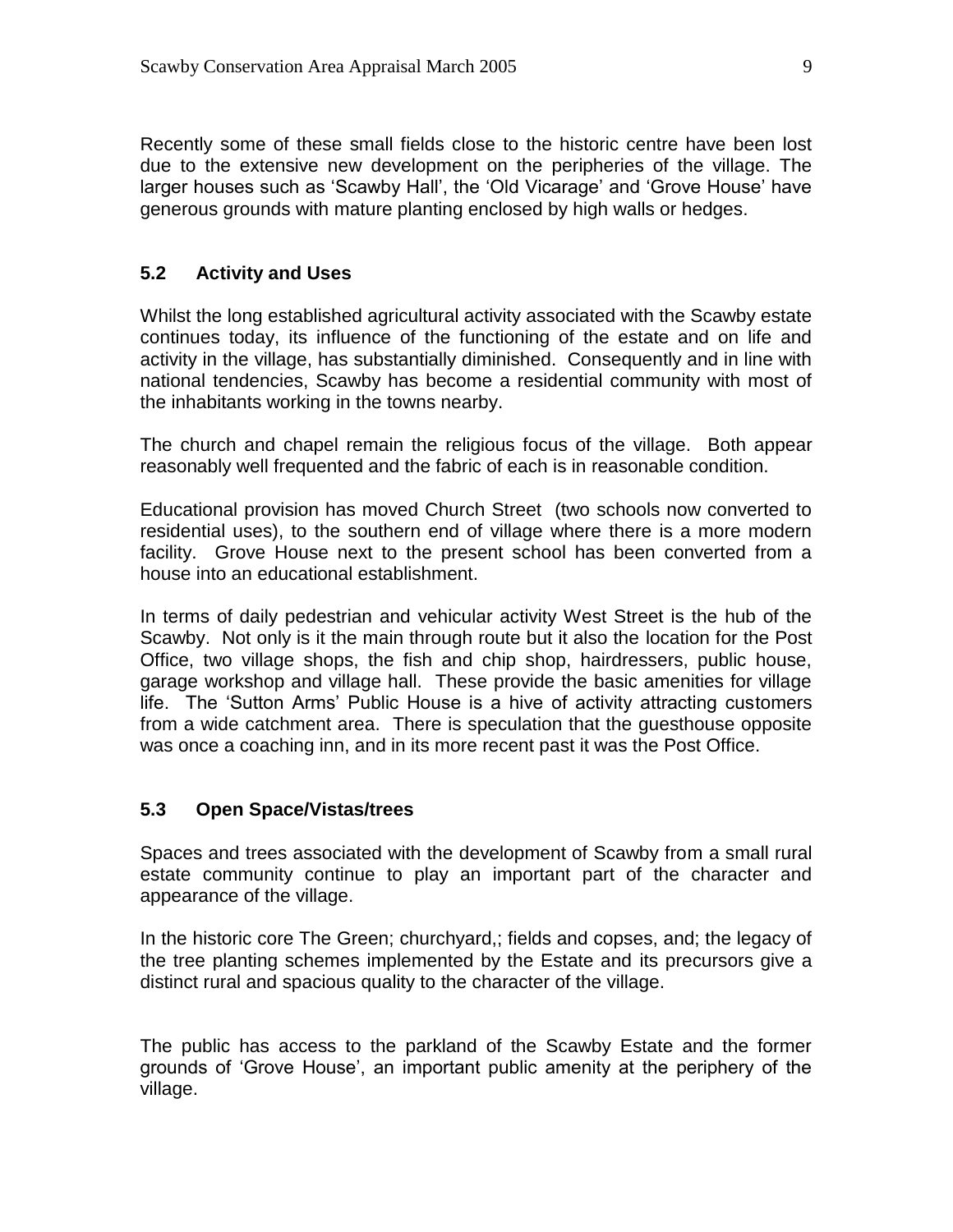Recently some of these small fields close to the historic centre have been lost due to the extensive new development on the peripheries of the village. The larger houses such as 'Scawby Hall', the 'Old Vicarage' and 'Grove House' have generous grounds with mature planting enclosed by high walls or hedges.

#### **5.2 Activity and Uses**

Whilst the long established agricultural activity associated with the Scawby estate continues today, its influence of the functioning of the estate and on life and activity in the village, has substantially diminished. Consequently and in line with national tendencies, Scawby has become a residential community with most of the inhabitants working in the towns nearby.

The church and chapel remain the religious focus of the village. Both appear reasonably well frequented and the fabric of each is in reasonable condition.

Educational provision has moved Church Street (two schools now converted to residential uses), to the southern end of village where there is a more modern facility. Grove House next to the present school has been converted from a house into an educational establishment.

In terms of daily pedestrian and vehicular activity West Street is the hub of the Scawby. Not only is it the main through route but it also the location for the Post Office, two village shops, the fish and chip shop, hairdressers, public house, garage workshop and village hall. These provide the basic amenities for village life. The 'Sutton Arms' Public House is a hive of activity attracting customers from a wide catchment area. There is speculation that the guesthouse opposite was once a coaching inn, and in its more recent past it was the Post Office.

#### **5.3 Open Space/Vistas/trees**

Spaces and trees associated with the development of Scawby from a small rural estate community continue to play an important part of the character and appearance of the village.

In the historic core The Green; churchyard,; fields and copses, and; the legacy of the tree planting schemes implemented by the Estate and its precursors give a distinct rural and spacious quality to the character of the village.

The public has access to the parkland of the Scawby Estate and the former grounds of 'Grove House', an important public amenity at the periphery of the village.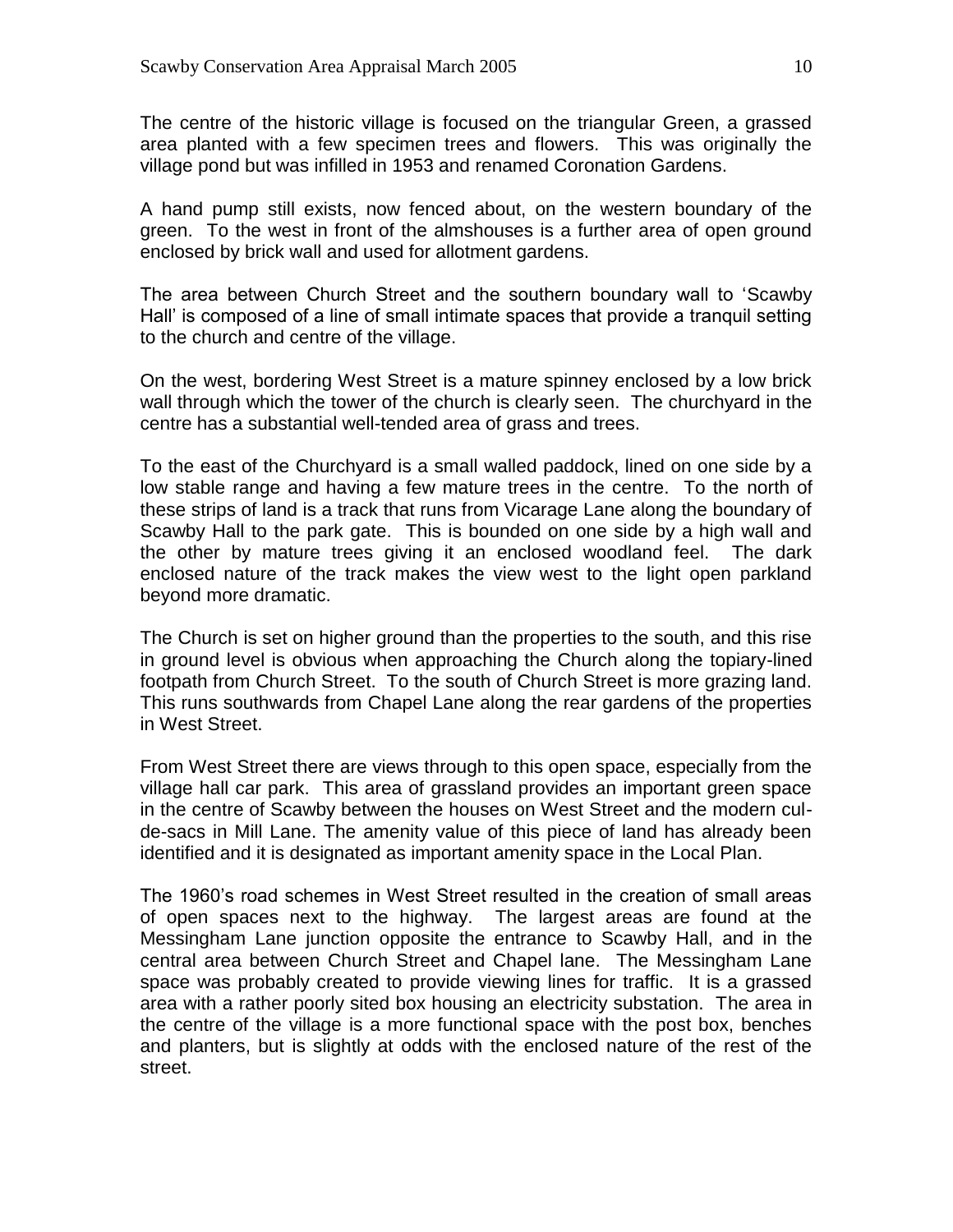The centre of the historic village is focused on the triangular Green, a grassed area planted with a few specimen trees and flowers. This was originally the village pond but was infilled in 1953 and renamed Coronation Gardens.

A hand pump still exists, now fenced about, on the western boundary of the green. To the west in front of the almshouses is a further area of open ground enclosed by brick wall and used for allotment gardens.

The area between Church Street and the southern boundary wall to 'Scawby Hall' is composed of a line of small intimate spaces that provide a tranquil setting to the church and centre of the village.

On the west, bordering West Street is a mature spinney enclosed by a low brick wall through which the tower of the church is clearly seen. The churchyard in the centre has a substantial well-tended area of grass and trees.

To the east of the Churchyard is a small walled paddock, lined on one side by a low stable range and having a few mature trees in the centre. To the north of these strips of land is a track that runs from Vicarage Lane along the boundary of Scawby Hall to the park gate. This is bounded on one side by a high wall and the other by mature trees giving it an enclosed woodland feel. The dark enclosed nature of the track makes the view west to the light open parkland beyond more dramatic.

The Church is set on higher ground than the properties to the south, and this rise in ground level is obvious when approaching the Church along the topiary-lined footpath from Church Street. To the south of Church Street is more grazing land. This runs southwards from Chapel Lane along the rear gardens of the properties in West Street.

From West Street there are views through to this open space, especially from the village hall car park. This area of grassland provides an important green space in the centre of Scawby between the houses on West Street and the modern culde-sacs in Mill Lane. The amenity value of this piece of land has already been identified and it is designated as important amenity space in the Local Plan.

The 1960's road schemes in West Street resulted in the creation of small areas of open spaces next to the highway. The largest areas are found at the Messingham Lane junction opposite the entrance to Scawby Hall, and in the central area between Church Street and Chapel lane. The Messingham Lane space was probably created to provide viewing lines for traffic. It is a grassed area with a rather poorly sited box housing an electricity substation. The area in the centre of the village is a more functional space with the post box, benches and planters, but is slightly at odds with the enclosed nature of the rest of the street.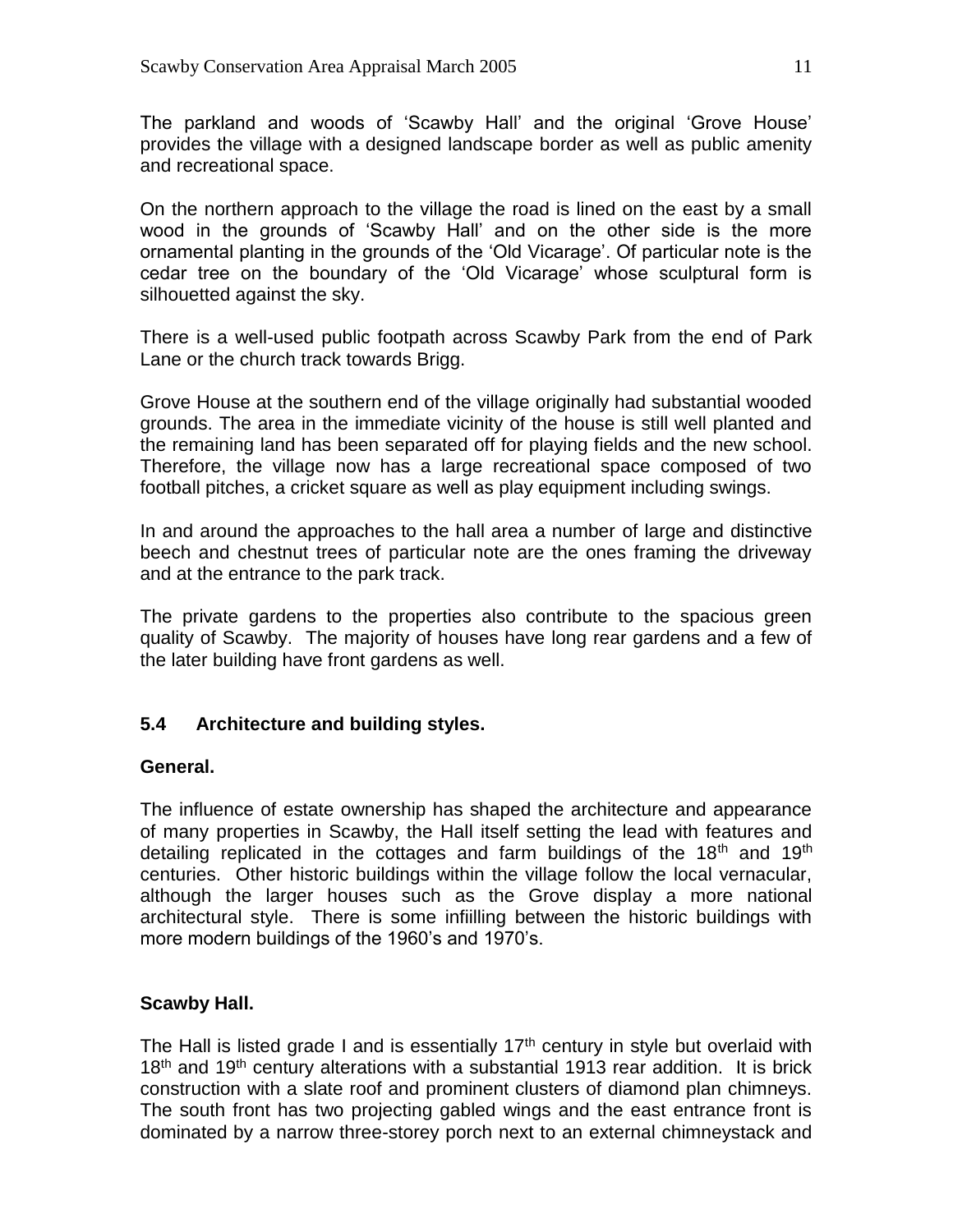The parkland and woods of 'Scawby Hall' and the original 'Grove House' provides the village with a designed landscape border as well as public amenity and recreational space.

On the northern approach to the village the road is lined on the east by a small wood in the grounds of 'Scawby Hall' and on the other side is the more ornamental planting in the grounds of the 'Old Vicarage'. Of particular note is the cedar tree on the boundary of the 'Old Vicarage' whose sculptural form is silhouetted against the sky.

There is a well-used public footpath across Scawby Park from the end of Park Lane or the church track towards Brigg.

Grove House at the southern end of the village originally had substantial wooded grounds. The area in the immediate vicinity of the house is still well planted and the remaining land has been separated off for playing fields and the new school. Therefore, the village now has a large recreational space composed of two football pitches, a cricket square as well as play equipment including swings.

In and around the approaches to the hall area a number of large and distinctive beech and chestnut trees of particular note are the ones framing the driveway and at the entrance to the park track.

The private gardens to the properties also contribute to the spacious green quality of Scawby. The majority of houses have long rear gardens and a few of the later building have front gardens as well.

# **5.4 Architecture and building styles.**

#### **General.**

The influence of estate ownership has shaped the architecture and appearance of many properties in Scawby, the Hall itself setting the lead with features and detailing replicated in the cottages and farm buildings of the  $18<sup>th</sup>$  and  $19<sup>th</sup>$ centuries. Other historic buildings within the village follow the local vernacular, although the larger houses such as the Grove display a more national architectural style. There is some infiilling between the historic buildings with more modern buildings of the 1960's and 1970's.

#### **Scawby Hall.**

The Hall is listed grade I and is essentially  $17<sup>th</sup>$  century in style but overlaid with  $18<sup>th</sup>$  and  $19<sup>th</sup>$  century alterations with a substantial 1913 rear addition. It is brick construction with a slate roof and prominent clusters of diamond plan chimneys. The south front has two projecting gabled wings and the east entrance front is dominated by a narrow three-storey porch next to an external chimneystack and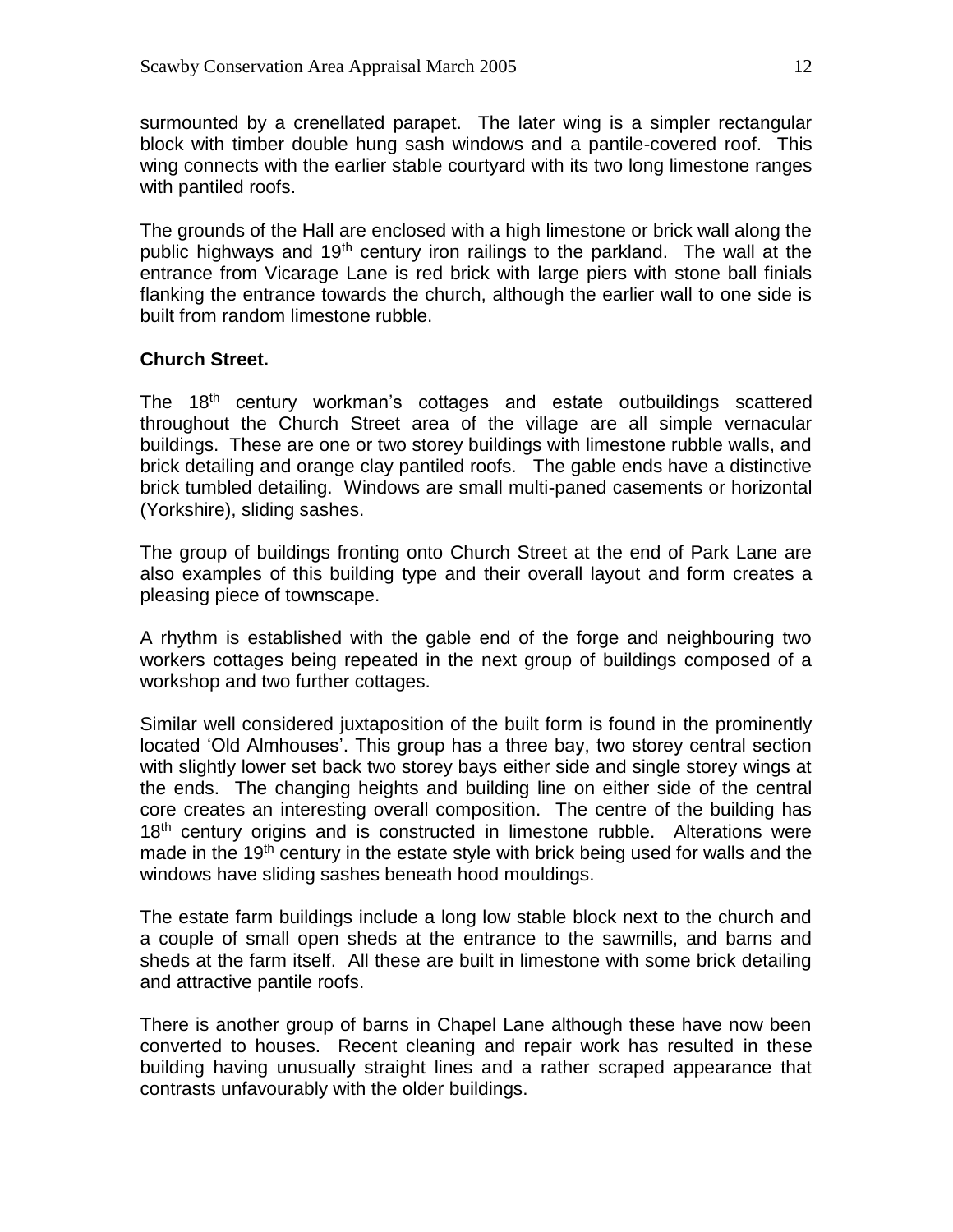surmounted by a crenellated parapet. The later wing is a simpler rectangular block with timber double hung sash windows and a pantile-covered roof. This wing connects with the earlier stable courtyard with its two long limestone ranges with pantiled roofs.

The grounds of the Hall are enclosed with a high limestone or brick wall along the public highways and 19<sup>th</sup> century iron railings to the parkland. The wall at the entrance from Vicarage Lane is red brick with large piers with stone ball finials flanking the entrance towards the church, although the earlier wall to one side is built from random limestone rubble.

# **Church Street.**

The 18<sup>th</sup> century workman's cottages and estate outbuildings scattered throughout the Church Street area of the village are all simple vernacular buildings. These are one or two storey buildings with limestone rubble walls, and brick detailing and orange clay pantiled roofs. The gable ends have a distinctive brick tumbled detailing. Windows are small multi-paned casements or horizontal (Yorkshire), sliding sashes.

The group of buildings fronting onto Church Street at the end of Park Lane are also examples of this building type and their overall layout and form creates a pleasing piece of townscape.

A rhythm is established with the gable end of the forge and neighbouring two workers cottages being repeated in the next group of buildings composed of a workshop and two further cottages.

Similar well considered juxtaposition of the built form is found in the prominently located 'Old Almhouses'. This group has a three bay, two storey central section with slightly lower set back two storey bays either side and single storey wings at the ends. The changing heights and building line on either side of the central core creates an interesting overall composition. The centre of the building has 18<sup>th</sup> century origins and is constructed in limestone rubble. Alterations were made in the  $19<sup>th</sup>$  century in the estate style with brick being used for walls and the windows have sliding sashes beneath hood mouldings.

The estate farm buildings include a long low stable block next to the church and a couple of small open sheds at the entrance to the sawmills, and barns and sheds at the farm itself. All these are built in limestone with some brick detailing and attractive pantile roofs.

There is another group of barns in Chapel Lane although these have now been converted to houses. Recent cleaning and repair work has resulted in these building having unusually straight lines and a rather scraped appearance that contrasts unfavourably with the older buildings.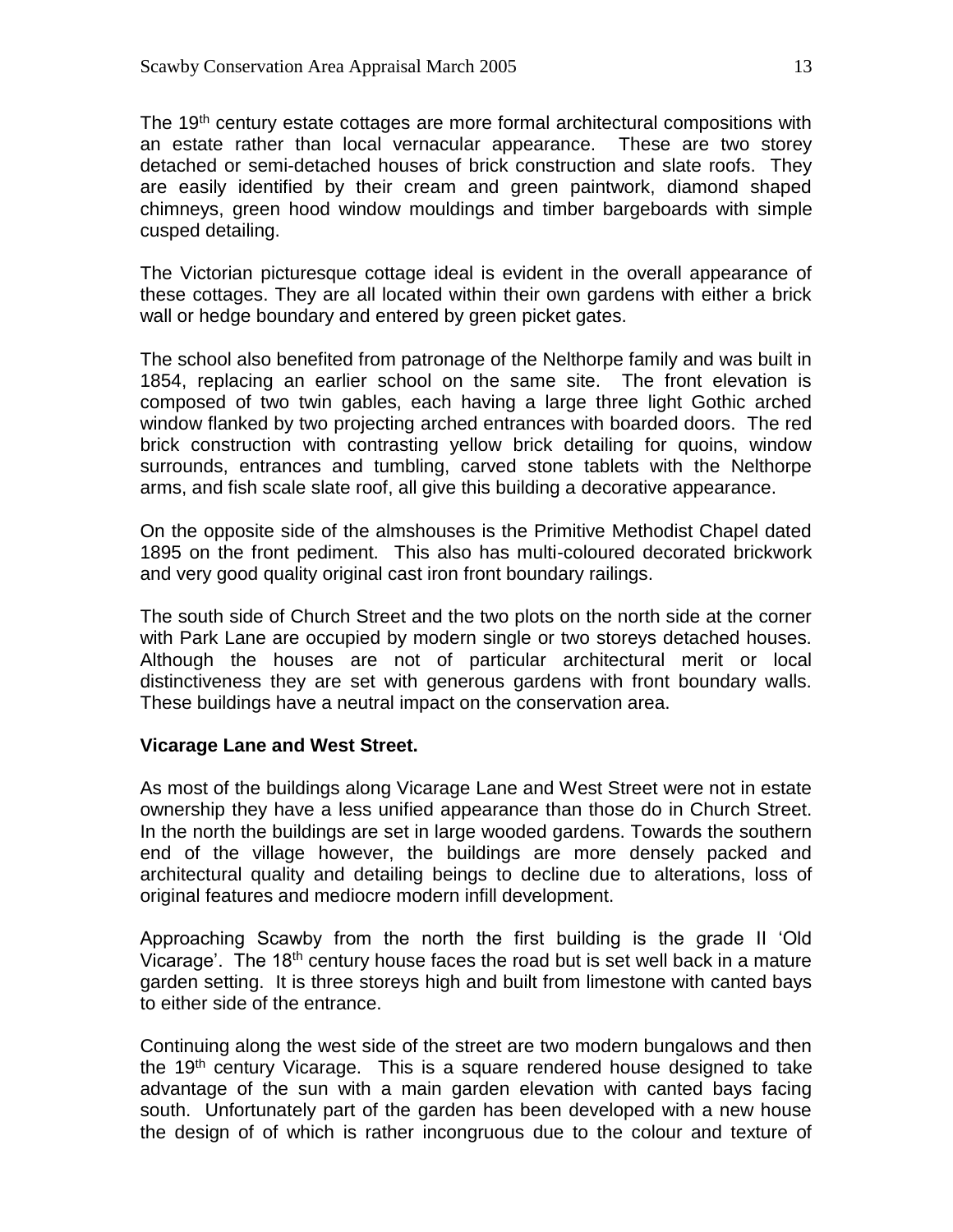The 19<sup>th</sup> century estate cottages are more formal architectural compositions with an estate rather than local vernacular appearance. These are two storey detached or semi-detached houses of brick construction and slate roofs. They are easily identified by their cream and green paintwork, diamond shaped chimneys, green hood window mouldings and timber bargeboards with simple cusped detailing.

The Victorian picturesque cottage ideal is evident in the overall appearance of these cottages. They are all located within their own gardens with either a brick wall or hedge boundary and entered by green picket gates.

The school also benefited from patronage of the Nelthorpe family and was built in 1854, replacing an earlier school on the same site. The front elevation is composed of two twin gables, each having a large three light Gothic arched window flanked by two projecting arched entrances with boarded doors. The red brick construction with contrasting yellow brick detailing for quoins, window surrounds, entrances and tumbling, carved stone tablets with the Nelthorpe arms, and fish scale slate roof, all give this building a decorative appearance.

On the opposite side of the almshouses is the Primitive Methodist Chapel dated 1895 on the front pediment. This also has multi-coloured decorated brickwork and very good quality original cast iron front boundary railings.

The south side of Church Street and the two plots on the north side at the corner with Park Lane are occupied by modern single or two storeys detached houses. Although the houses are not of particular architectural merit or local distinctiveness they are set with generous gardens with front boundary walls. These buildings have a neutral impact on the conservation area.

#### **Vicarage Lane and West Street.**

As most of the buildings along Vicarage Lane and West Street were not in estate ownership they have a less unified appearance than those do in Church Street. In the north the buildings are set in large wooded gardens. Towards the southern end of the village however, the buildings are more densely packed and architectural quality and detailing beings to decline due to alterations, loss of original features and mediocre modern infill development.

Approaching Scawby from the north the first building is the grade II 'Old Vicarage'. The 18<sup>th</sup> century house faces the road but is set well back in a mature garden setting. It is three storeys high and built from limestone with canted bays to either side of the entrance.

Continuing along the west side of the street are two modern bungalows and then the 19<sup>th</sup> century Vicarage. This is a square rendered house designed to take advantage of the sun with a main garden elevation with canted bays facing south. Unfortunately part of the garden has been developed with a new house the design of of which is rather incongruous due to the colour and texture of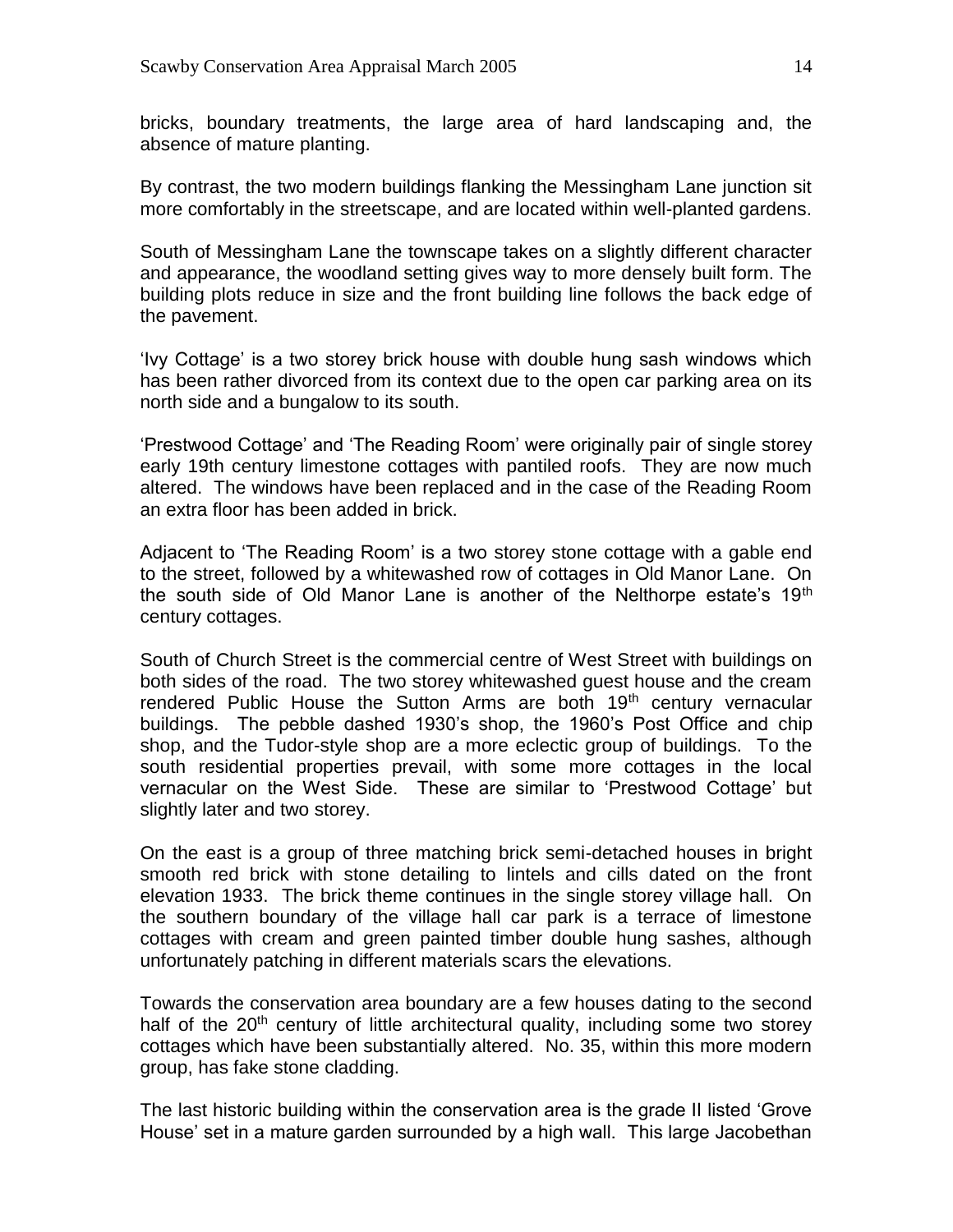bricks, boundary treatments, the large area of hard landscaping and, the absence of mature planting.

By contrast, the two modern buildings flanking the Messingham Lane junction sit more comfortably in the streetscape, and are located within well-planted gardens.

South of Messingham Lane the townscape takes on a slightly different character and appearance, the woodland setting gives way to more densely built form. The building plots reduce in size and the front building line follows the back edge of the pavement.

'Ivy Cottage' is a two storey brick house with double hung sash windows which has been rather divorced from its context due to the open car parking area on its north side and a bungalow to its south.

'Prestwood Cottage' and 'The Reading Room' were originally pair of single storey early 19th century limestone cottages with pantiled roofs. They are now much altered. The windows have been replaced and in the case of the Reading Room an extra floor has been added in brick.

Adjacent to 'The Reading Room' is a two storey stone cottage with a gable end to the street, followed by a whitewashed row of cottages in Old Manor Lane. On the south side of Old Manor Lane is another of the Nelthorpe estate's  $19<sup>th</sup>$ century cottages.

South of Church Street is the commercial centre of West Street with buildings on both sides of the road. The two storey whitewashed guest house and the cream rendered Public House the Sutton Arms are both 19<sup>th</sup> century vernacular buildings. The pebble dashed 1930's shop, the 1960's Post Office and chip shop, and the Tudor-style shop are a more eclectic group of buildings. To the south residential properties prevail, with some more cottages in the local vernacular on the West Side. These are similar to 'Prestwood Cottage' but slightly later and two storey.

On the east is a group of three matching brick semi-detached houses in bright smooth red brick with stone detailing to lintels and cills dated on the front elevation 1933. The brick theme continues in the single storey village hall. On the southern boundary of the village hall car park is a terrace of limestone cottages with cream and green painted timber double hung sashes, although unfortunately patching in different materials scars the elevations.

Towards the conservation area boundary are a few houses dating to the second half of the  $20<sup>th</sup>$  century of little architectural quality, including some two storey cottages which have been substantially altered. No. 35, within this more modern group, has fake stone cladding.

The last historic building within the conservation area is the grade II listed 'Grove House' set in a mature garden surrounded by a high wall. This large Jacobethan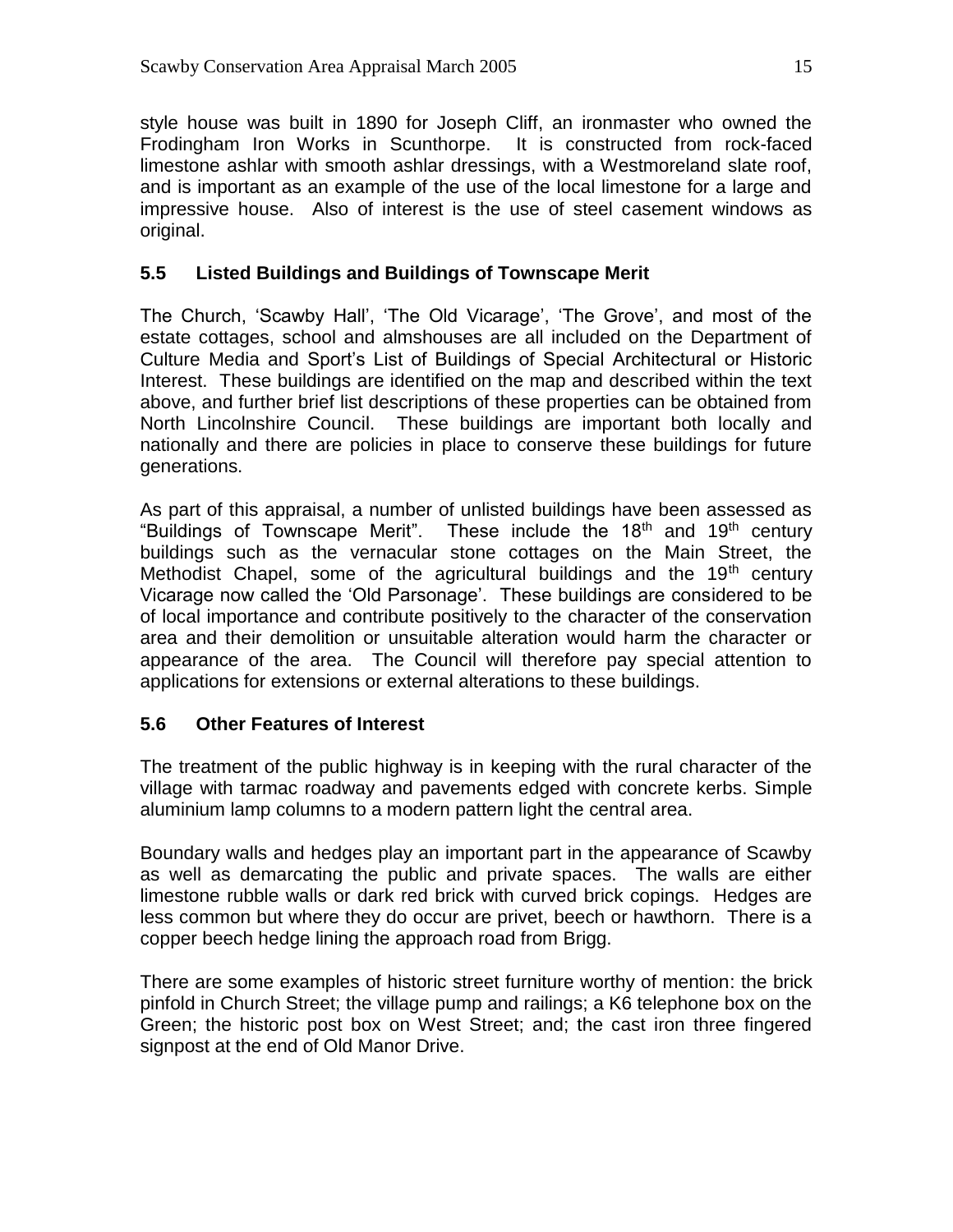style house was built in 1890 for Joseph Cliff, an ironmaster who owned the Frodingham Iron Works in Scunthorpe. It is constructed from rock-faced limestone ashlar with smooth ashlar dressings, with a Westmoreland slate roof, and is important as an example of the use of the local limestone for a large and impressive house. Also of interest is the use of steel casement windows as original.

#### **5.5 Listed Buildings and Buildings of Townscape Merit**

The Church, 'Scawby Hall', 'The Old Vicarage', 'The Grove', and most of the estate cottages, school and almshouses are all included on the Department of Culture Media and Sport's List of Buildings of Special Architectural or Historic Interest. These buildings are identified on the map and described within the text above, and further brief list descriptions of these properties can be obtained from North Lincolnshire Council. These buildings are important both locally and nationally and there are policies in place to conserve these buildings for future generations.

As part of this appraisal, a number of unlisted buildings have been assessed as "Buildings of Townscape Merit". These include the 18<sup>th</sup> and 19<sup>th</sup> century buildings such as the vernacular stone cottages on the Main Street, the Methodist Chapel, some of the agricultural buildings and the  $19<sup>th</sup>$  century Vicarage now called the 'Old Parsonage'. These buildings are considered to be of local importance and contribute positively to the character of the conservation area and their demolition or unsuitable alteration would harm the character or appearance of the area. The Council will therefore pay special attention to applications for extensions or external alterations to these buildings.

#### **5.6 Other Features of Interest**

The treatment of the public highway is in keeping with the rural character of the village with tarmac roadway and pavements edged with concrete kerbs. Simple aluminium lamp columns to a modern pattern light the central area.

Boundary walls and hedges play an important part in the appearance of Scawby as well as demarcating the public and private spaces. The walls are either limestone rubble walls or dark red brick with curved brick copings. Hedges are less common but where they do occur are privet, beech or hawthorn. There is a copper beech hedge lining the approach road from Brigg.

There are some examples of historic street furniture worthy of mention: the brick pinfold in Church Street; the village pump and railings; a K6 telephone box on the Green; the historic post box on West Street; and; the cast iron three fingered signpost at the end of Old Manor Drive.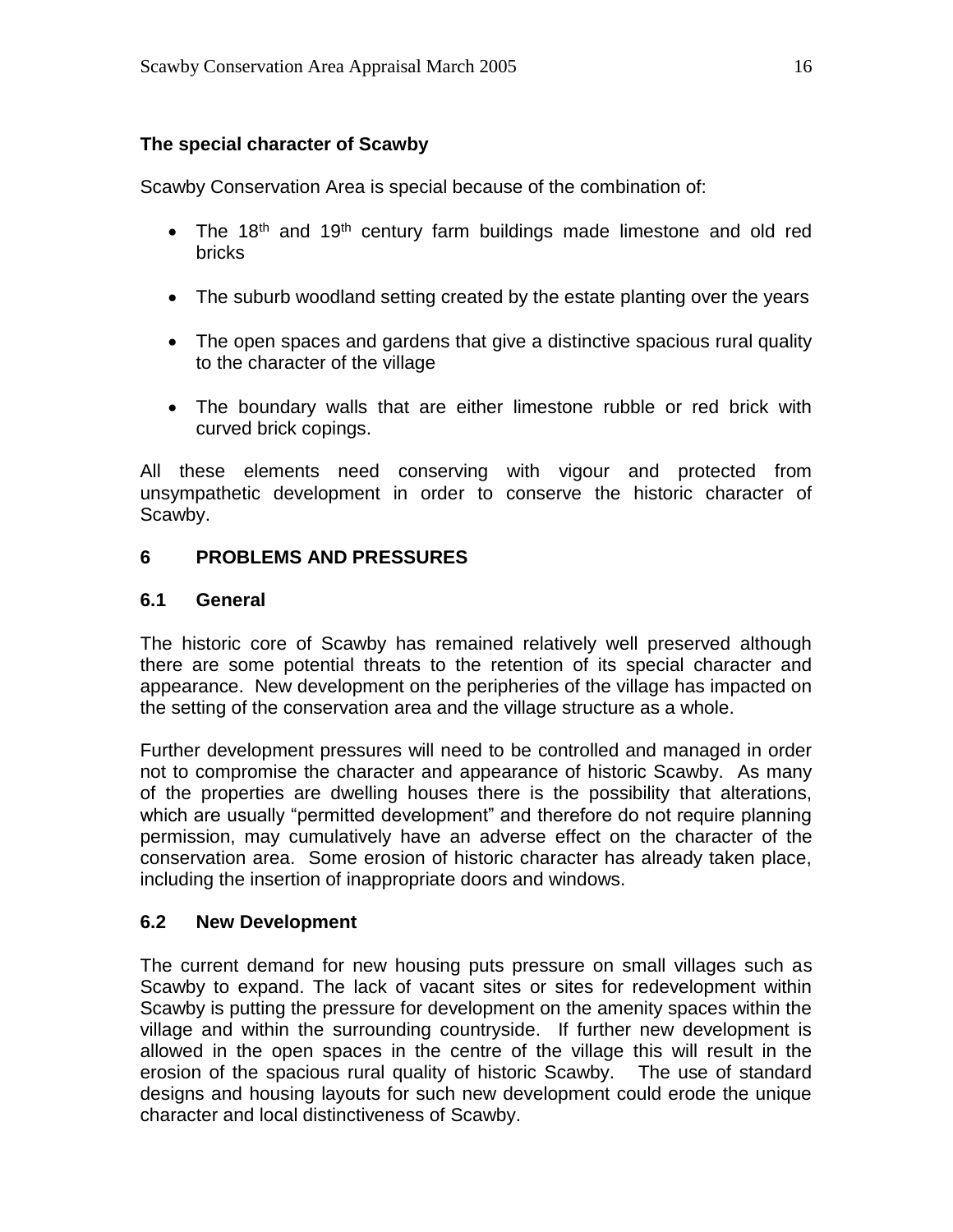#### **The special character of Scawby**

Scawby Conservation Area is special because of the combination of:

- The 18<sup>th</sup> and 19<sup>th</sup> century farm buildings made limestone and old red bricks
- The suburb woodland setting created by the estate planting over the years
- The open spaces and gardens that give a distinctive spacious rural quality to the character of the village
- The boundary walls that are either limestone rubble or red brick with curved brick copings.

All these elements need conserving with vigour and protected from unsympathetic development in order to conserve the historic character of Scawby.

#### **6 PROBLEMS AND PRESSURES**

#### **6.1 General**

The historic core of Scawby has remained relatively well preserved although there are some potential threats to the retention of its special character and appearance. New development on the peripheries of the village has impacted on the setting of the conservation area and the village structure as a whole.

Further development pressures will need to be controlled and managed in order not to compromise the character and appearance of historic Scawby. As many of the properties are dwelling houses there is the possibility that alterations, which are usually "permitted development" and therefore do not require planning permission, may cumulatively have an adverse effect on the character of the conservation area. Some erosion of historic character has already taken place, including the insertion of inappropriate doors and windows.

#### **6.2 New Development**

The current demand for new housing puts pressure on small villages such as Scawby to expand. The lack of vacant sites or sites for redevelopment within Scawby is putting the pressure for development on the amenity spaces within the village and within the surrounding countryside. If further new development is allowed in the open spaces in the centre of the village this will result in the erosion of the spacious rural quality of historic Scawby. The use of standard designs and housing layouts for such new development could erode the unique character and local distinctiveness of Scawby.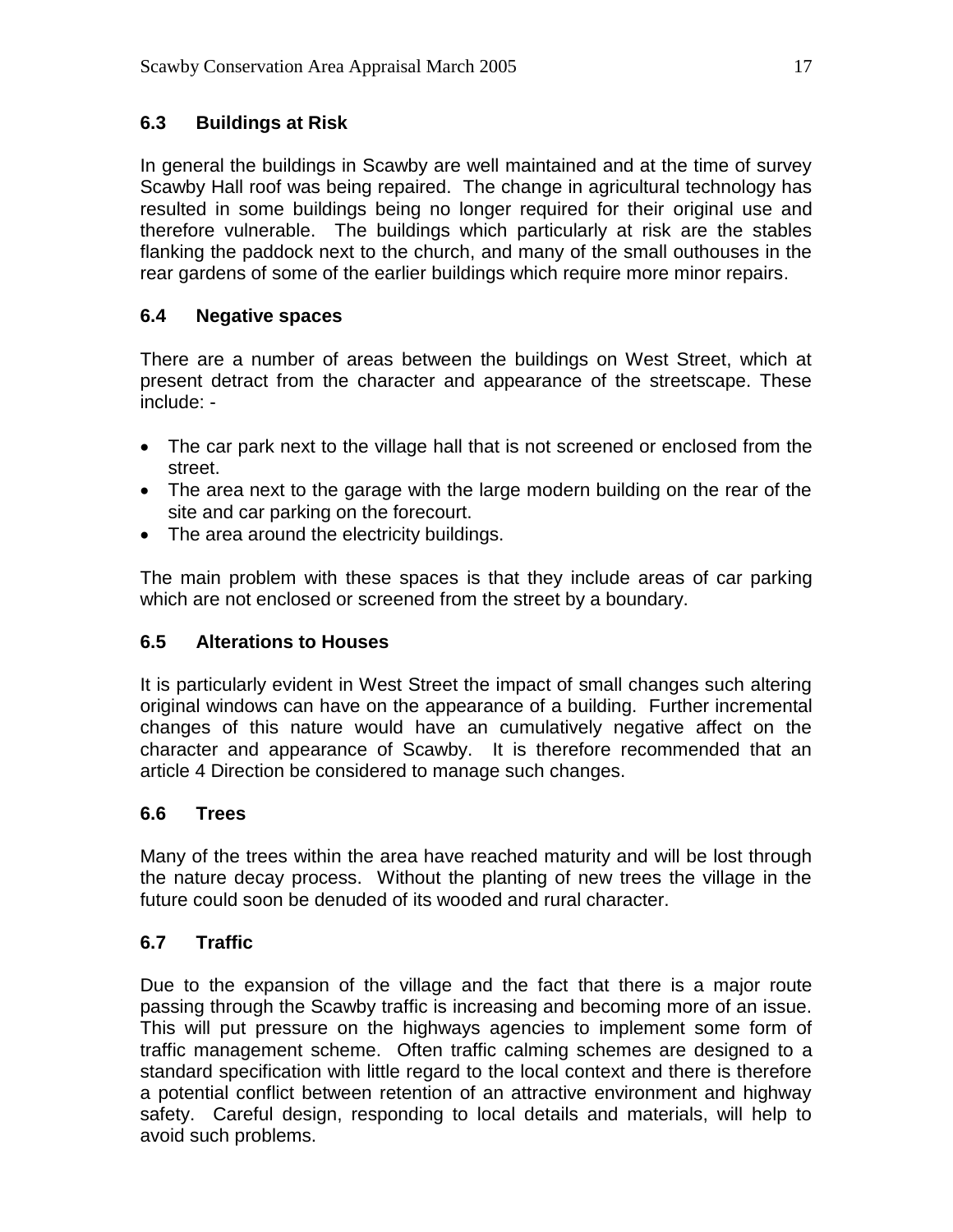# **6.3 Buildings at Risk**

In general the buildings in Scawby are well maintained and at the time of survey Scawby Hall roof was being repaired. The change in agricultural technology has resulted in some buildings being no longer required for their original use and therefore vulnerable. The buildings which particularly at risk are the stables flanking the paddock next to the church, and many of the small outhouses in the rear gardens of some of the earlier buildings which require more minor repairs.

# **6.4 Negative spaces**

There are a number of areas between the buildings on West Street, which at present detract from the character and appearance of the streetscape. These include: -

- The car park next to the village hall that is not screened or enclosed from the street.
- The area next to the garage with the large modern building on the rear of the site and car parking on the forecourt.
- The area around the electricity buildings.

The main problem with these spaces is that they include areas of car parking which are not enclosed or screened from the street by a boundary.

# **6.5 Alterations to Houses**

It is particularly evident in West Street the impact of small changes such altering original windows can have on the appearance of a building. Further incremental changes of this nature would have an cumulatively negative affect on the character and appearance of Scawby. It is therefore recommended that an article 4 Direction be considered to manage such changes.

# **6.6 Trees**

Many of the trees within the area have reached maturity and will be lost through the nature decay process. Without the planting of new trees the village in the future could soon be denuded of its wooded and rural character.

# **6.7 Traffic**

Due to the expansion of the village and the fact that there is a major route passing through the Scawby traffic is increasing and becoming more of an issue. This will put pressure on the highways agencies to implement some form of traffic management scheme. Often traffic calming schemes are designed to a standard specification with little regard to the local context and there is therefore a potential conflict between retention of an attractive environment and highway safety. Careful design, responding to local details and materials, will help to avoid such problems.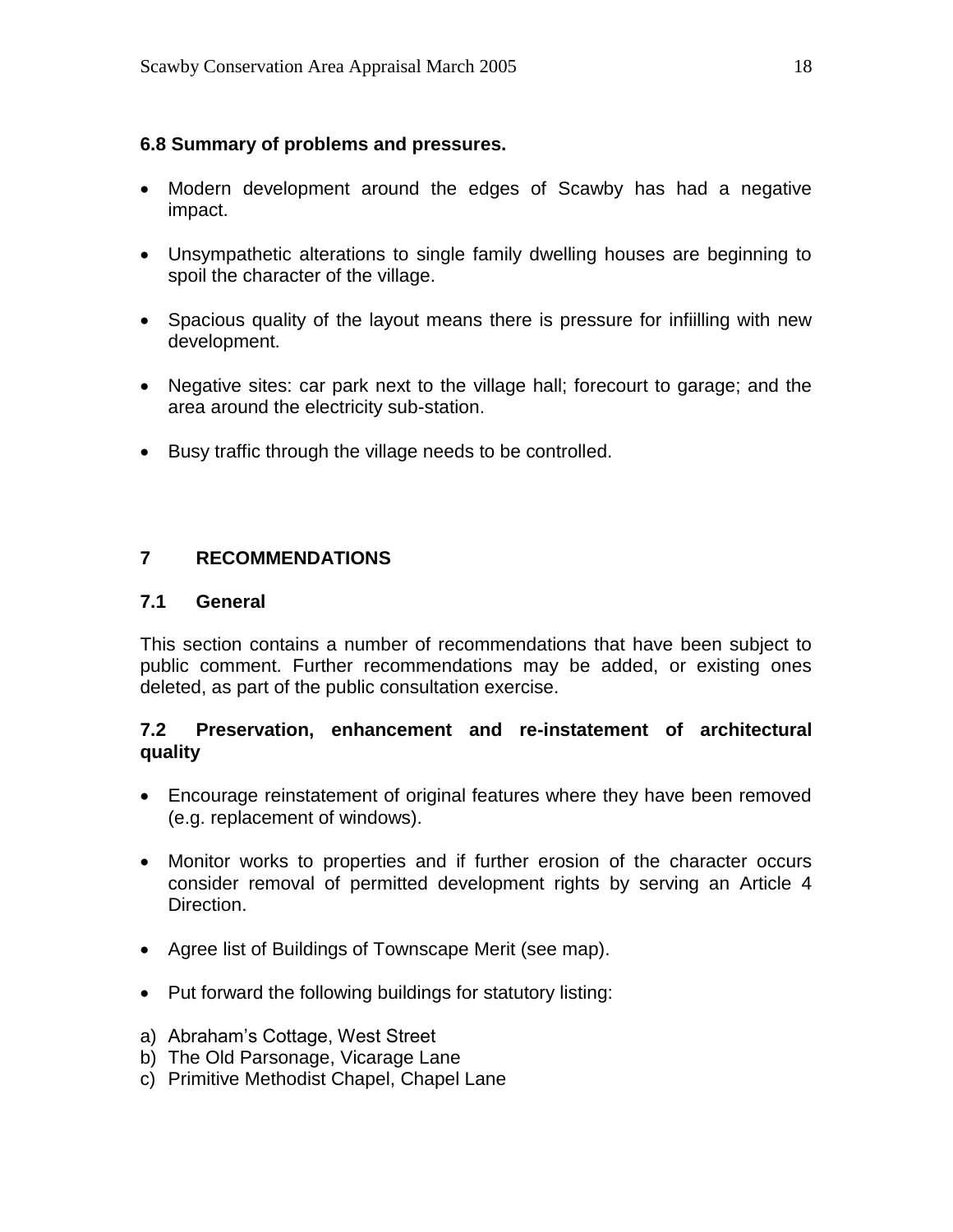#### **6.8 Summary of problems and pressures.**

- Modern development around the edges of Scawby has had a negative impact.
- Unsympathetic alterations to single family dwelling houses are beginning to spoil the character of the village.
- Spacious quality of the layout means there is pressure for infiilling with new development.
- Negative sites: car park next to the village hall; forecourt to garage; and the area around the electricity sub-station.
- Busy traffic through the village needs to be controlled.

# **7 RECOMMENDATIONS**

#### **7.1 General**

This section contains a number of recommendations that have been subject to public comment. Further recommendations may be added, or existing ones deleted, as part of the public consultation exercise.

#### **7.2 Preservation, enhancement and re-instatement of architectural quality**

- Encourage reinstatement of original features where they have been removed (e.g. replacement of windows).
- Monitor works to properties and if further erosion of the character occurs consider removal of permitted development rights by serving an Article 4 Direction.
- Agree list of Buildings of Townscape Merit (see map).
- Put forward the following buildings for statutory listing:
- a) Abraham's Cottage, West Street
- b) The Old Parsonage, Vicarage Lane
- c) Primitive Methodist Chapel, Chapel Lane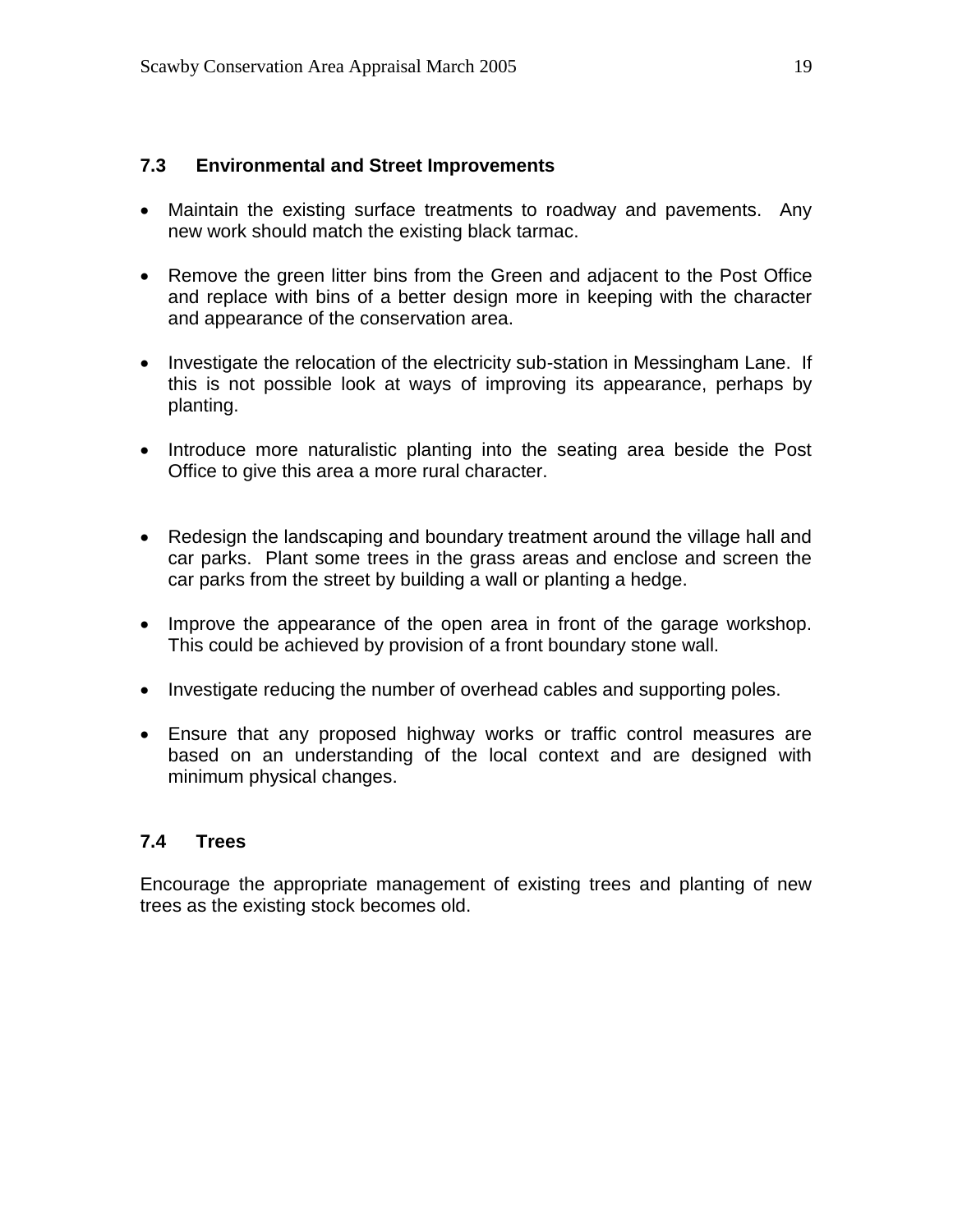#### **7.3 Environmental and Street Improvements**

- Maintain the existing surface treatments to roadway and pavements. Any new work should match the existing black tarmac.
- Remove the green litter bins from the Green and adjacent to the Post Office and replace with bins of a better design more in keeping with the character and appearance of the conservation area.
- Investigate the relocation of the electricity sub-station in Messingham Lane. If this is not possible look at ways of improving its appearance, perhaps by planting.
- Introduce more naturalistic planting into the seating area beside the Post Office to give this area a more rural character.
- Redesign the landscaping and boundary treatment around the village hall and car parks. Plant some trees in the grass areas and enclose and screen the car parks from the street by building a wall or planting a hedge.
- Improve the appearance of the open area in front of the garage workshop. This could be achieved by provision of a front boundary stone wall.
- Investigate reducing the number of overhead cables and supporting poles.
- Ensure that any proposed highway works or traffic control measures are based on an understanding of the local context and are designed with minimum physical changes.

#### **7.4 Trees**

Encourage the appropriate management of existing trees and planting of new trees as the existing stock becomes old.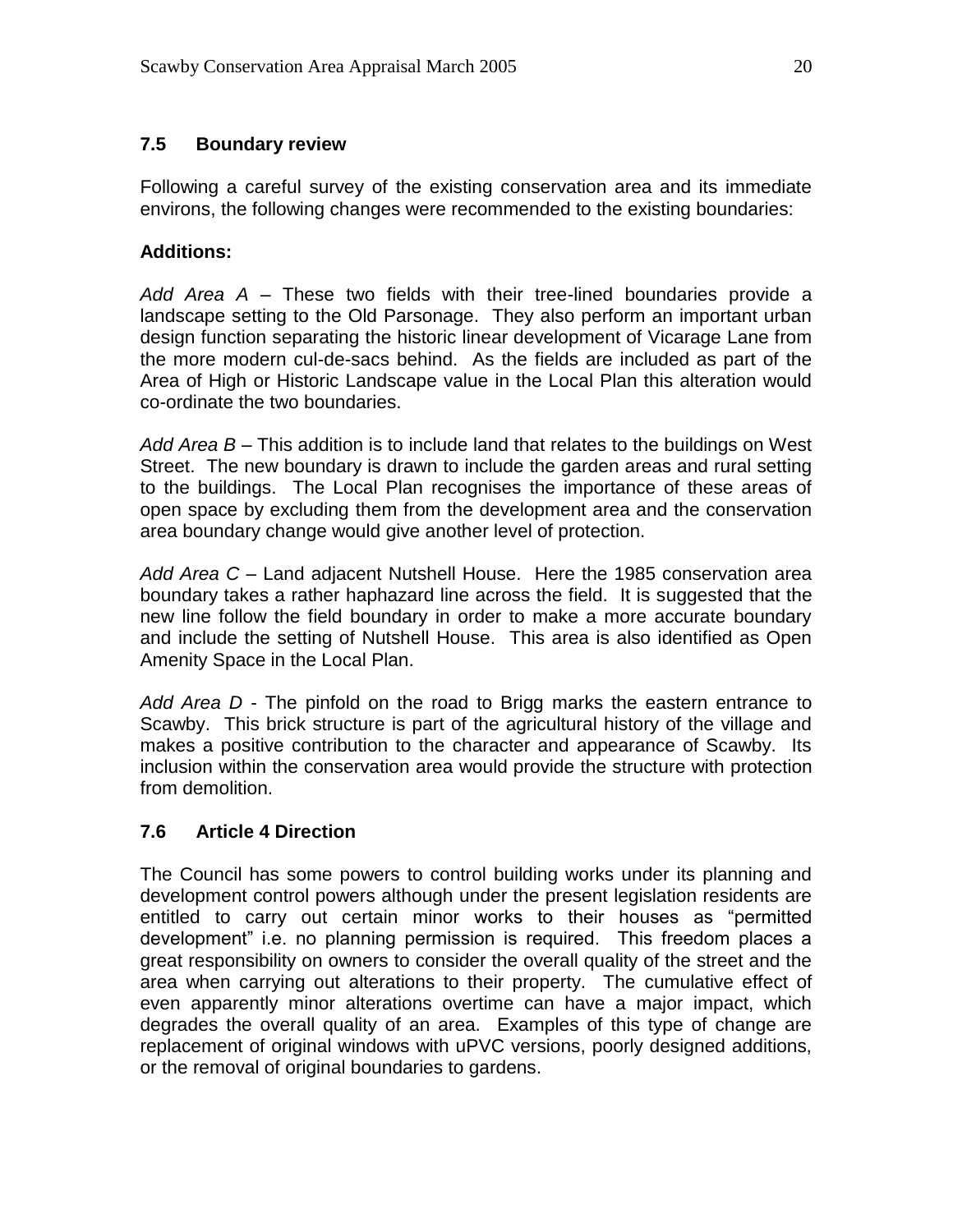#### **7.5 Boundary review**

Following a careful survey of the existing conservation area and its immediate environs, the following changes were recommended to the existing boundaries:

#### **Additions:**

*Add Area A* – These two fields with their tree-lined boundaries provide a landscape setting to the Old Parsonage. They also perform an important urban design function separating the historic linear development of Vicarage Lane from the more modern cul-de-sacs behind. As the fields are included as part of the Area of High or Historic Landscape value in the Local Plan this alteration would co-ordinate the two boundaries.

*Add Area B* – This addition is to include land that relates to the buildings on West Street. The new boundary is drawn to include the garden areas and rural setting to the buildings. The Local Plan recognises the importance of these areas of open space by excluding them from the development area and the conservation area boundary change would give another level of protection.

*Add Area C –* Land adjacent Nutshell House. Here the 1985 conservation area boundary takes a rather haphazard line across the field. It is suggested that the new line follow the field boundary in order to make a more accurate boundary and include the setting of Nutshell House. This area is also identified as Open Amenity Space in the Local Plan.

*Add Area D* - The pinfold on the road to Brigg marks the eastern entrance to Scawby. This brick structure is part of the agricultural history of the village and makes a positive contribution to the character and appearance of Scawby. Its inclusion within the conservation area would provide the structure with protection from demolition.

# **7.6 Article 4 Direction**

The Council has some powers to control building works under its planning and development control powers although under the present legislation residents are entitled to carry out certain minor works to their houses as "permitted development" i.e. no planning permission is required. This freedom places a great responsibility on owners to consider the overall quality of the street and the area when carrying out alterations to their property. The cumulative effect of even apparently minor alterations overtime can have a major impact, which degrades the overall quality of an area. Examples of this type of change are replacement of original windows with uPVC versions, poorly designed additions, or the removal of original boundaries to gardens.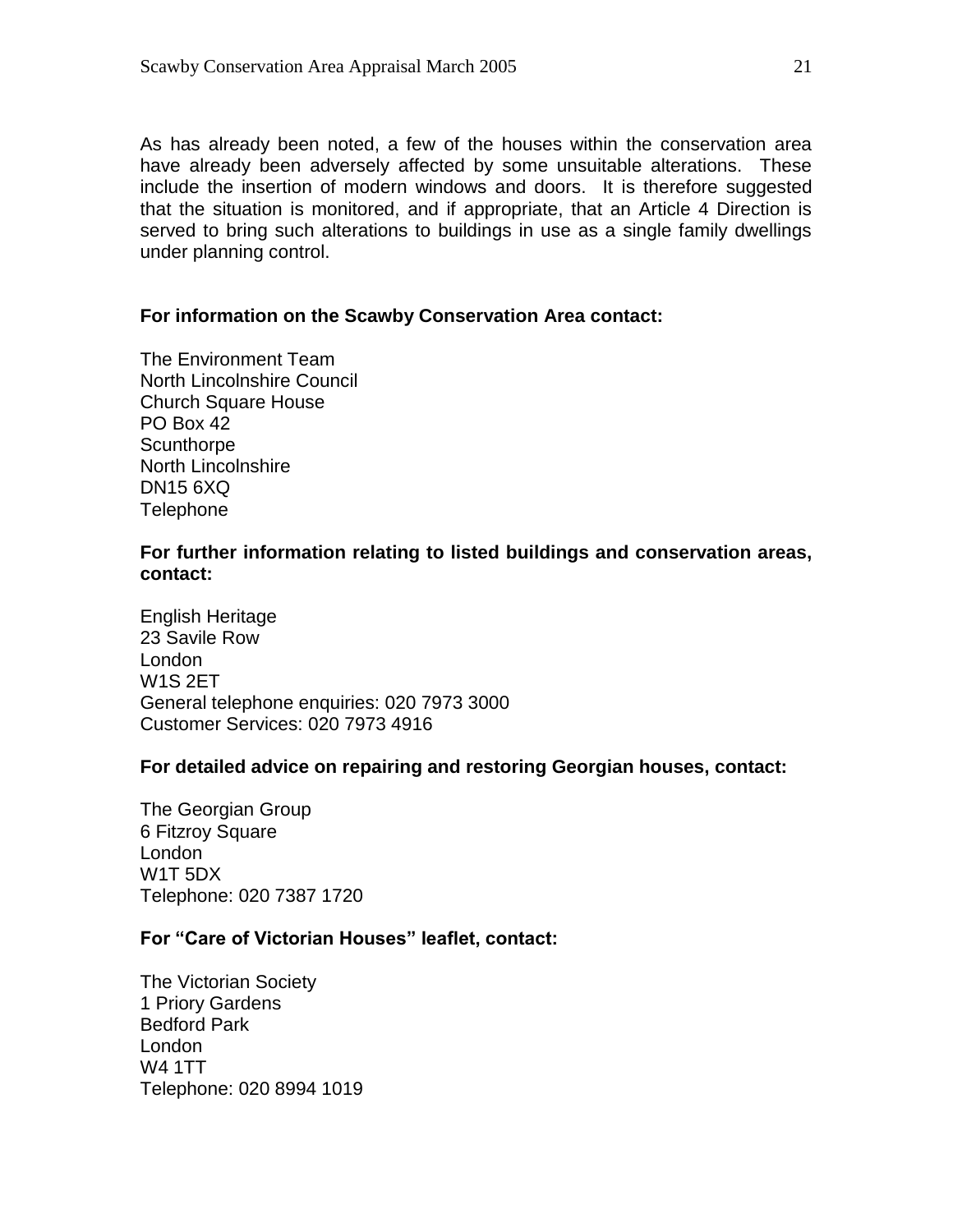As has already been noted, a few of the houses within the conservation area have already been adversely affected by some unsuitable alterations. These include the insertion of modern windows and doors. It is therefore suggested that the situation is monitored, and if appropriate, that an Article 4 Direction is served to bring such alterations to buildings in use as a single family dwellings under planning control.

#### **For information on the Scawby Conservation Area contact:**

The Environment Team North Lincolnshire Council Church Square House PO Box 42 **Scunthorpe** North Lincolnshire DN15 6XQ **Telephone** 

#### **For further information relating to listed buildings and conservation areas, contact:**

English Heritage 23 Savile Row London W1S 2ET General telephone enquiries: 020 7973 3000 Customer Services: 020 7973 4916

#### **For detailed advice on repairing and restoring Georgian houses, contact:**

The Georgian Group 6 Fitzroy Square London W1T 5DX Telephone: 020 7387 1720

#### **For "Care of Victorian Houses" leaflet, contact:**

The Victorian Society 1 Priory Gardens Bedford Park London W4 1TT Telephone: 020 8994 1019